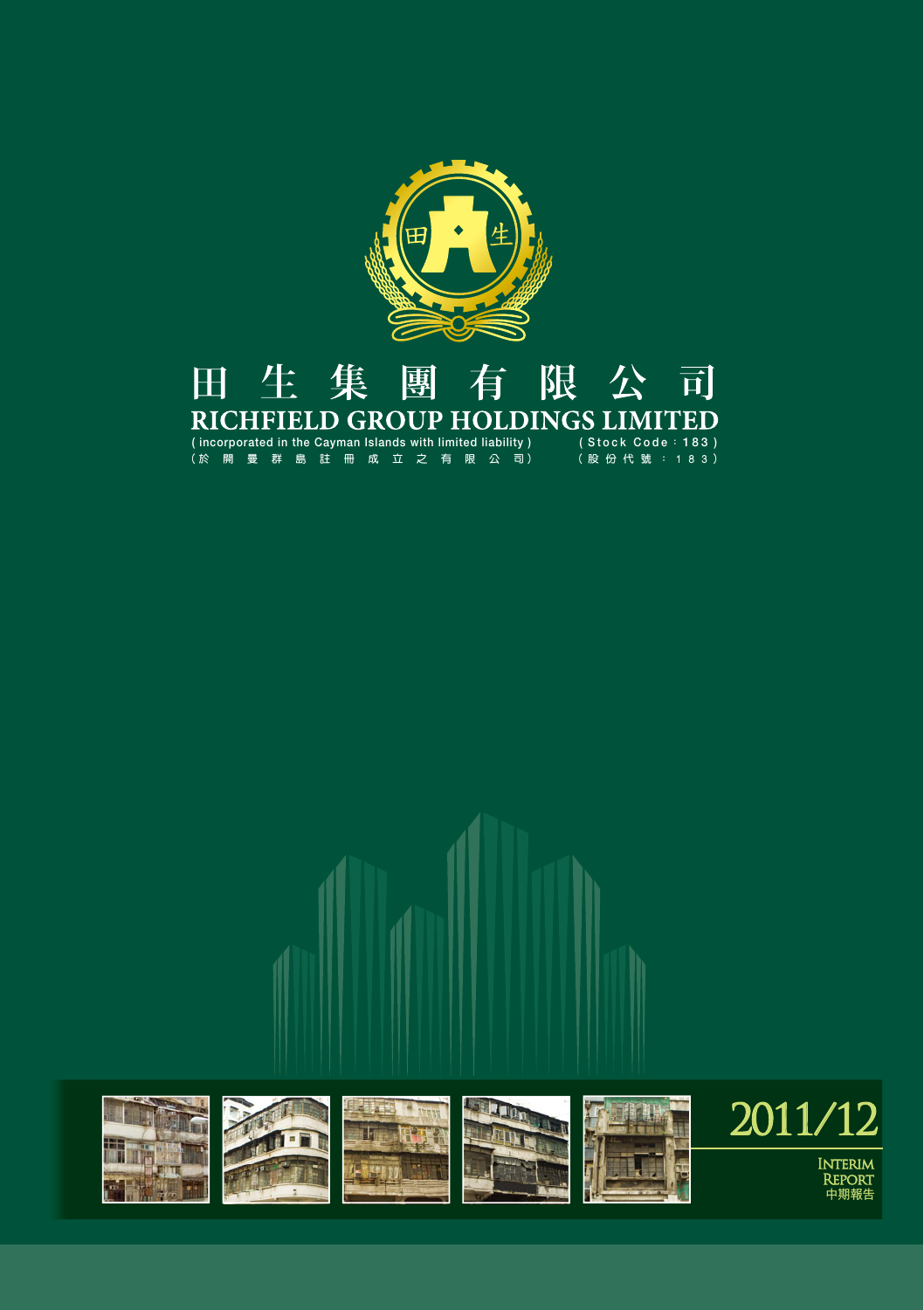

#### 田生集 團 有 限公司 RICHFIELD GROUP HOLDINGS LIMITED

**( incorporated in the Cayman Islands with limited liability ) (於 開 曼 群 島 註 冊 成 立 之 有 限 公 司) ( Stock Code : 183 ) (股 份 代 號 : 1 8 3)**

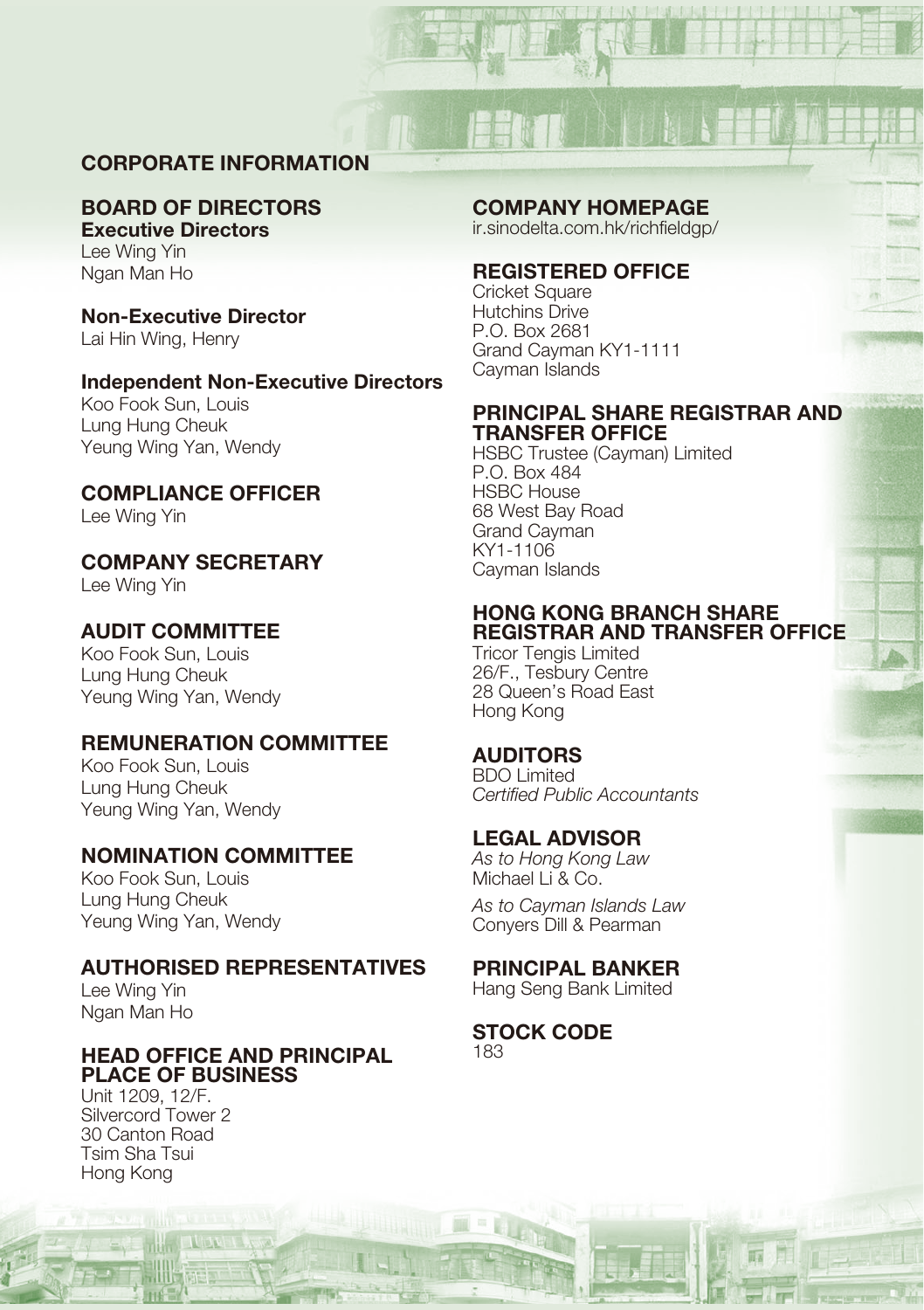# **CORPORATE INFORMATION**

#### **BOARD OF DIRECTORS Executive Directors**

Lee Wing Yin Ngan Man Ho

**Non-Executive Director** Lai Hin Wing, Henry

# **Independent Non-Executive Directors**

Koo Fook Sun, Louis Lung Hung Cheuk Yeung Wing Yan, Wendy

# **COMPLIANCE OFFICER**

Lee Wing Yin

# **COMPANY SECRETARY**

Lee Wing Yin

# **AUDIT COMMITTEE**

Koo Fook Sun, Louis Lung Hung Cheuk Yeung Wing Yan, Wendy

# **REMUNERATION COMMITTEE**

Koo Fook Sun, Louis Lung Hung Cheuk Yeung Wing Yan, Wendy

# **NOMINATION COMMITTEE**

Koo Fook Sun, Louis Lung Hung Cheuk Yeung Wing Yan, Wendy

# **AUTHORISED REPRESENTATIVES**

Lee Wing Yin Ngan Man Ho

# **HEAD OFFICE AND PRINCIPAL PLACE OF BUSINESS**

Unit 1209, 12/F. Silvercord Tower 2 30 Canton Road Tsim Sha Tsui Hong Kong

### **COMPANY HOMEPAGE**

ir.sinodelta.com.hk/richfieldgp/

#### **REGISTERED OFFICE**

Cricket Square Hutchins Drive P.O. Box 2681 Grand Cayman KY1-1111 Cayman Islands

### **PRINCIPAL SHARE REGISTRAR AND TRANSFER OFFICE**

HSBC Trustee (Cayman) Limited P.O. Box 484 HSBC House 68 West Bay Road Grand Cayman KY1-1106 Cayman Islands

### **HONG KONG BRANCH SHARE REGISTRAR AND TRANSFER OFFICE**

Tricor Tengis Limited 26/F., Tesbury Centre 28 Queen's Road East Hong Kong

# **AUDITORS**

BDO Limited Certified Public Accountants

# **LEGAL ADVISOR**

As to Hong Kong Law Michael Li & Co.

As to Cayman Islands Law Conyers Dill & Pearman

# **PRINCIPAL BANKER**

Hang Seng Bank Limited

#### **STOCK CODE** 183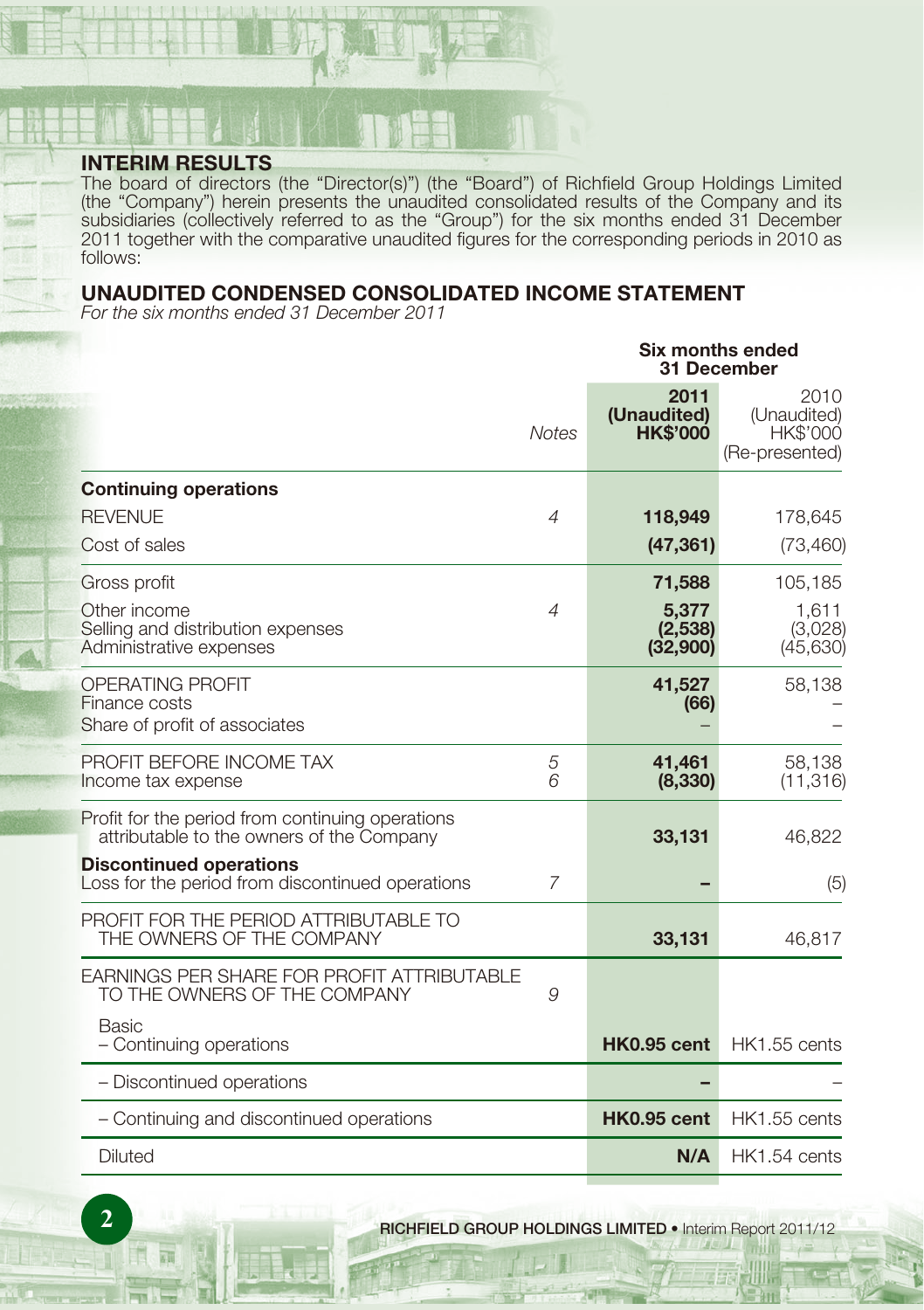# **INTERIM RESULTS**

The board of directors (the "Director(s)") (the "Board") of Richfield Group Holdings Limited (the "Company") herein presents the unaudited consolidated results of the Company and its subsidiaries (collectively referred to as the "Group") for the six months ended 31 December 2011 together with the comparative unaudited figures for the corresponding periods in 2010 as follows:

# **UNAUDITED CONDENSED CONSOLIDATED INCOME STATEMENT**

For the six months ended 31 December 2011

|                                                                                               |                |                                        | Six months ended<br>31 December                          |
|-----------------------------------------------------------------------------------------------|----------------|----------------------------------------|----------------------------------------------------------|
|                                                                                               | <b>Notes</b>   | 2011<br>(Unaudited)<br><b>HK\$'000</b> | 2010<br>(Unaudited)<br><b>HK\$'000</b><br>(Re-presented) |
| <b>Continuing operations</b>                                                                  |                |                                        |                                                          |
| <b>REVENUE</b>                                                                                | $\overline{A}$ | 118,949                                | 178,645                                                  |
| Cost of sales                                                                                 |                | (47, 361)                              | (73, 460)                                                |
| Gross profit                                                                                  |                | 71,588                                 | 105,185                                                  |
| Other income<br>Selling and distribution expenses<br>Administrative expenses                  | $\overline{A}$ | 5,377<br>(2,538)<br>(32,900)           | 1,611<br>(3,028)<br>(45, 630)                            |
| <b>OPERATING PROFIT</b><br>Finance costs<br>Share of profit of associates                     |                | 41,527<br>(66)                         | 58,138                                                   |
| PROFIT BEFORE INCOME TAX<br>Income tax expense                                                | 5<br>6         | 41,461<br>(8, 330)                     | 58,138<br>(11, 316)                                      |
| Profit for the period from continuing operations<br>attributable to the owners of the Company |                | 33,131                                 | 46,822                                                   |
| <b>Discontinued operations</b><br>Loss for the period from discontinued operations            | $\overline{7}$ |                                        | (5)                                                      |
| PROFIT FOR THE PERIOD ATTRIBUTABLE TO<br>THE OWNERS OF THE COMPANY                            |                | 33,131                                 | 46,817                                                   |
| <b>EARNINGS PER SHARE FOR PROFIT ATTRIBUTABLE</b><br>TO THE OWNERS OF THE COMPANY             | 9              |                                        |                                                          |
| Basic<br>- Continuing operations                                                              |                | <b>HK0.95 cent</b>                     | <b>HK1.55 cents</b>                                      |
| - Discontinued operations                                                                     |                |                                        |                                                          |
| - Continuing and discontinued operations                                                      |                | <b>HK0.95 cent</b>                     | HK1.55 cents                                             |
| <b>Diluted</b>                                                                                |                | N/A                                    | HK1.54 cents                                             |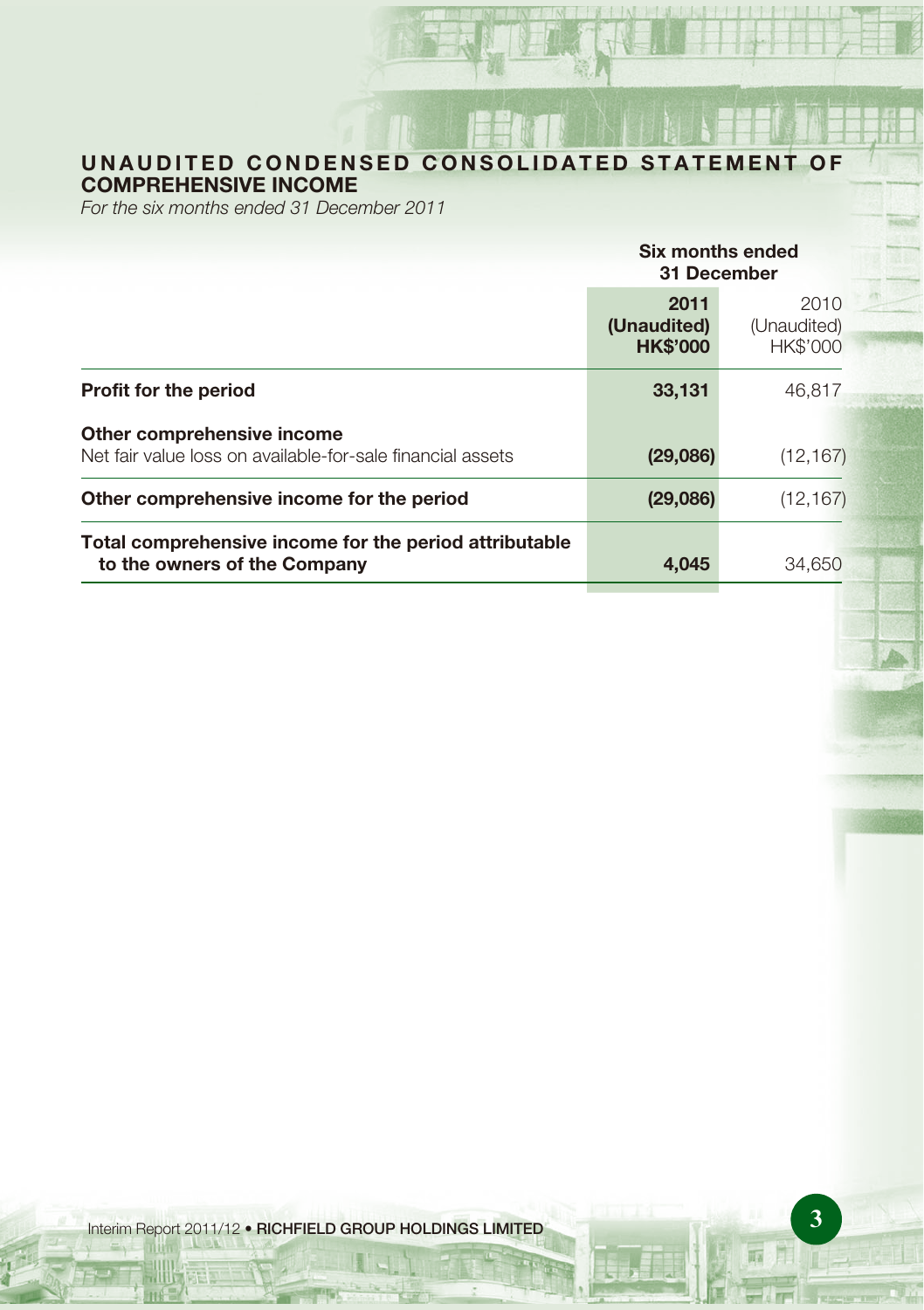# **UNAUDITED CONDENSED CONSOLIDATED STATEMENT OF COMPREHENSIVE INCOME**

For the six months ended 31 December 2011

|                                                                                          | Six months ended<br>31 December        |                                        |  |
|------------------------------------------------------------------------------------------|----------------------------------------|----------------------------------------|--|
|                                                                                          | 2011<br>(Unaudited)<br><b>HK\$'000</b> | 2010<br>(Unaudited)<br><b>HK\$'000</b> |  |
| <b>Profit for the period</b>                                                             | 33,131                                 | 46.817                                 |  |
| Other comprehensive income<br>Net fair value loss on available-for-sale financial assets | (29,086)                               | (12, 167)                              |  |
| Other comprehensive income for the period                                                | (29,086)                               | (12, 167)                              |  |
| Total comprehensive income for the period attributable<br>to the owners of the Company   | 4,045                                  | 34.650                                 |  |

**3** Interim Report 2011/12 • **RICHFIELD GROUP HOLDINGS LIMITED**

兩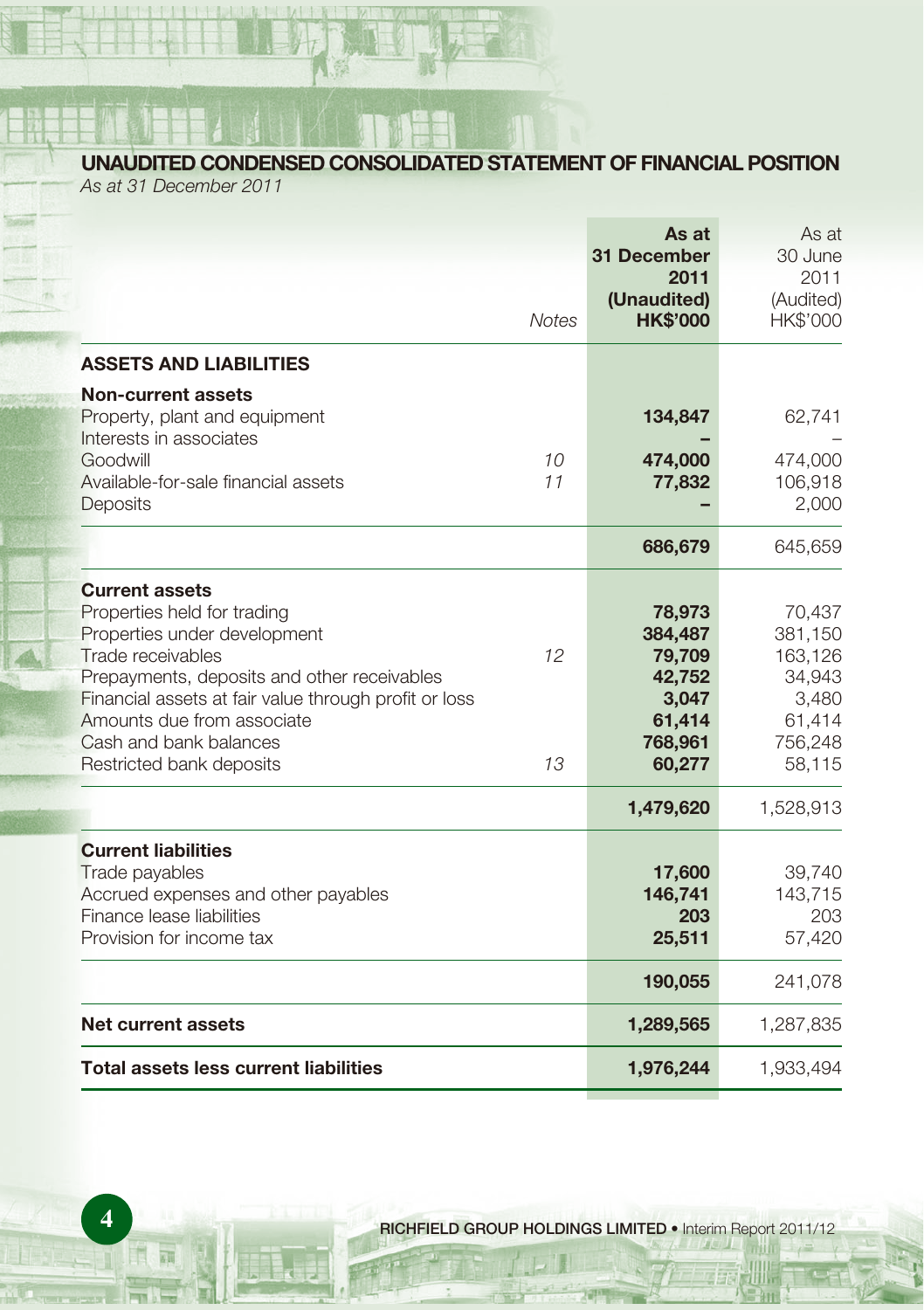**UNAUDITED CONDENSED CONSOLIDATED STATEMENT OF FINANCIAL POSITION**

As at 31 December 2011

|                                                                                                                                                                                                                                                                                                       | <b>Notes</b>          | As at<br>31 December<br>2011<br>(Unaudited)<br><b>HK\$'000</b>                | As at<br>30 June<br>2011<br>(Audited)<br>HK\$'000                              |
|-------------------------------------------------------------------------------------------------------------------------------------------------------------------------------------------------------------------------------------------------------------------------------------------------------|-----------------------|-------------------------------------------------------------------------------|--------------------------------------------------------------------------------|
| <b>ASSETS AND LIABILITIES</b>                                                                                                                                                                                                                                                                         |                       |                                                                               |                                                                                |
| Non-current assets<br>Property, plant and equipment<br>Interests in associates<br>Goodwill<br>Available-for-sale financial assets<br><b>Deposits</b>                                                                                                                                                  | 10 <sup>1</sup><br>11 | 134,847<br>474,000<br>77,832                                                  | 62,741<br>474,000<br>106,918<br>2,000                                          |
|                                                                                                                                                                                                                                                                                                       |                       | 686,679                                                                       | 645,659                                                                        |
| <b>Current assets</b><br>Properties held for trading<br>Properties under development<br>Trade receivables<br>Prepayments, deposits and other receivables<br>Financial assets at fair value through profit or loss<br>Amounts due from associate<br>Cash and bank balances<br>Restricted bank deposits | 12<br>13              | 78,973<br>384,487<br>79,709<br>42,752<br>3,047<br>61,414<br>768,961<br>60,277 | 70,437<br>381,150<br>163,126<br>34,943<br>3,480<br>61,414<br>756,248<br>58,115 |
|                                                                                                                                                                                                                                                                                                       |                       | 1,479,620                                                                     | 1,528,913                                                                      |
| <b>Current liabilities</b><br>Trade payables<br>Accrued expenses and other payables<br>Finance lease liabilities<br>Provision for income tax                                                                                                                                                          |                       | 17,600<br>146,741<br>203<br>25,511                                            | 39,740<br>143,715<br>203<br>57,420                                             |
|                                                                                                                                                                                                                                                                                                       |                       | 190,055                                                                       | 241,078                                                                        |
| Net current assets                                                                                                                                                                                                                                                                                    |                       | 1,289,565                                                                     | 1,287,835                                                                      |
| <b>Total assets less current liabilities</b>                                                                                                                                                                                                                                                          |                       | 1,976,244                                                                     | 1,933,494                                                                      |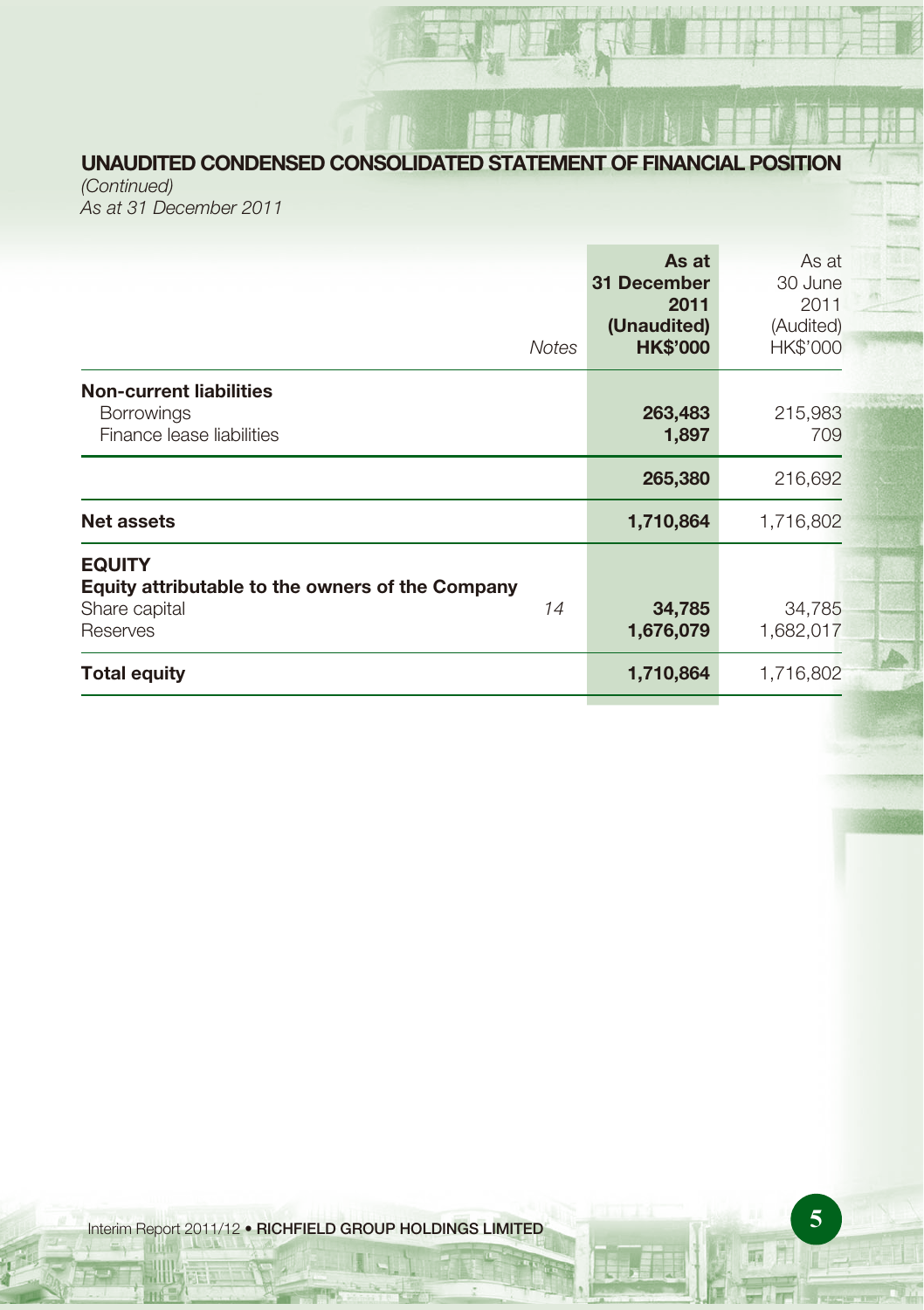# **UNAUDITED CONDENSED CONSOLIDATED STATEMENT OF FINANCIAL POSITION**

(Continued) As at 31 December 2011

| <b>Notes</b>                                                                                         | As at<br>31 December<br>2011<br>(Unaudited)<br><b>HK\$'000</b> | As at<br>30 June<br>2011<br>(Audited)<br>HK\$'000 |
|------------------------------------------------------------------------------------------------------|----------------------------------------------------------------|---------------------------------------------------|
| <b>Non-current liabilities</b><br><b>Borrowings</b><br>Finance lease liabilities                     | 263,483<br>1,897                                               | 215,983<br>709                                    |
|                                                                                                      | 265,380                                                        | 216,692                                           |
| Net assets                                                                                           | 1,710,864                                                      | 1,716,802                                         |
| <b>EQUITY</b><br>Equity attributable to the owners of the Company<br>14<br>Share capital<br>Reserves | 34,785<br>1,676,079                                            | 34,785<br>1,682,017                               |
| <b>Total equity</b>                                                                                  | 1,710,864                                                      | 1,716,802                                         |

**5** Interim Report 2011/12 • **RICHFIELD GROUP HOLDINGS LIMITED**

兩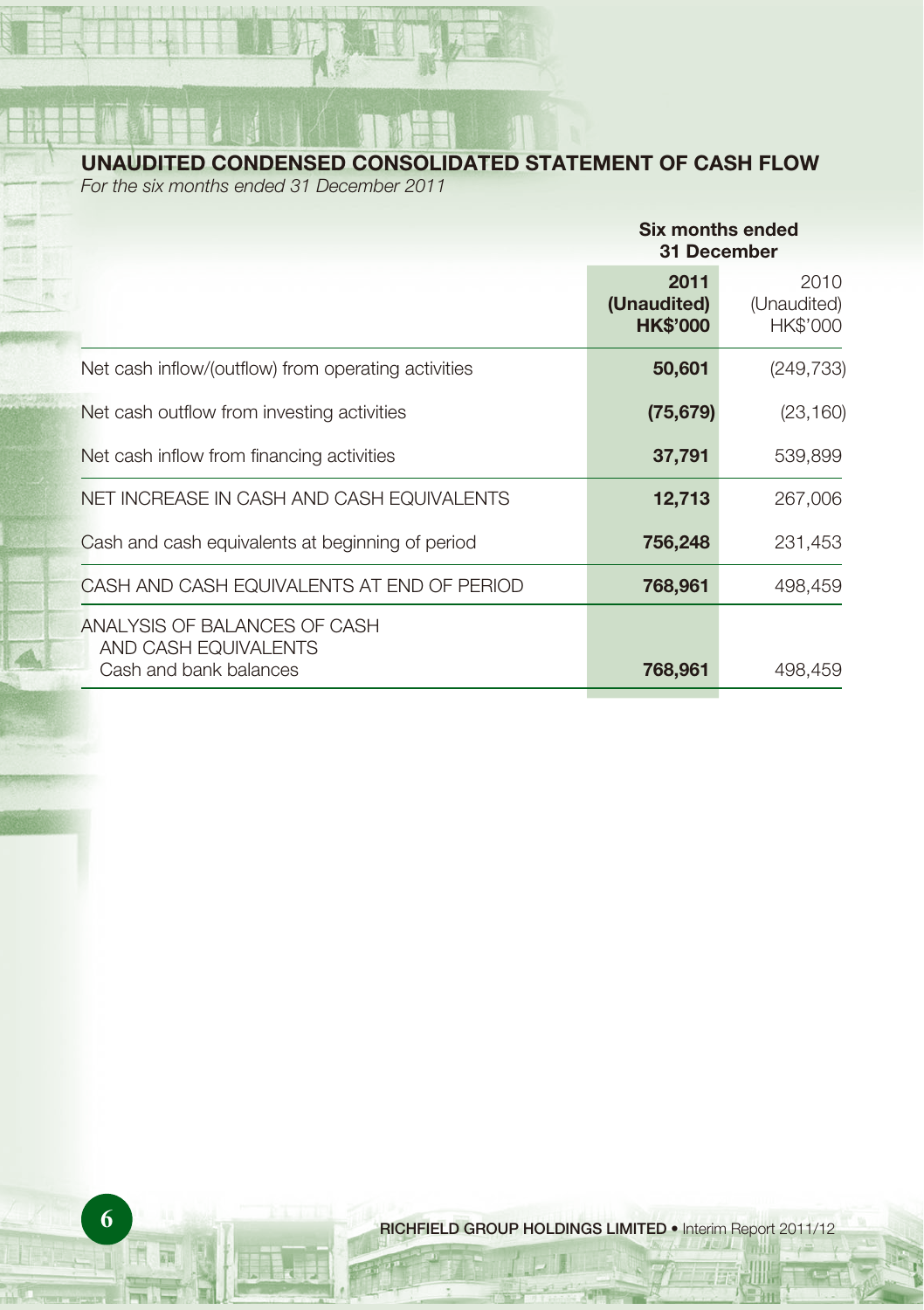**UNAUDITED CONDENSED CONSOLIDATED STATEMENT OF CASH FLOW**

For the six months ended 31 December 2011

|                                                                                | Six months ended<br>31 December        |                                 |  |
|--------------------------------------------------------------------------------|----------------------------------------|---------------------------------|--|
|                                                                                | 2011<br>(Unaudited)<br><b>HK\$'000</b> | 2010<br>(Unaudited)<br>HK\$'000 |  |
| Net cash inflow/(outflow) from operating activities                            | 50,601                                 | (249, 733)                      |  |
| Net cash outflow from investing activities                                     | (75, 679)                              | (23, 160)                       |  |
| Net cash inflow from financing activities                                      | 37,791                                 | 539,899                         |  |
| NET INCREASE IN CASH AND CASH EQUIVALENTS                                      | 12,713                                 | 267,006                         |  |
| Cash and cash equivalents at beginning of period                               | 756,248                                | 231,453                         |  |
| CASH AND CASH EQUIVALENTS AT END OF PERIOD                                     | 768,961                                | 498,459                         |  |
| ANALYSIS OF BALANCES OF CASH<br>AND CASH EQUIVALENTS<br>Cash and bank balances | 768,961                                | 498,459                         |  |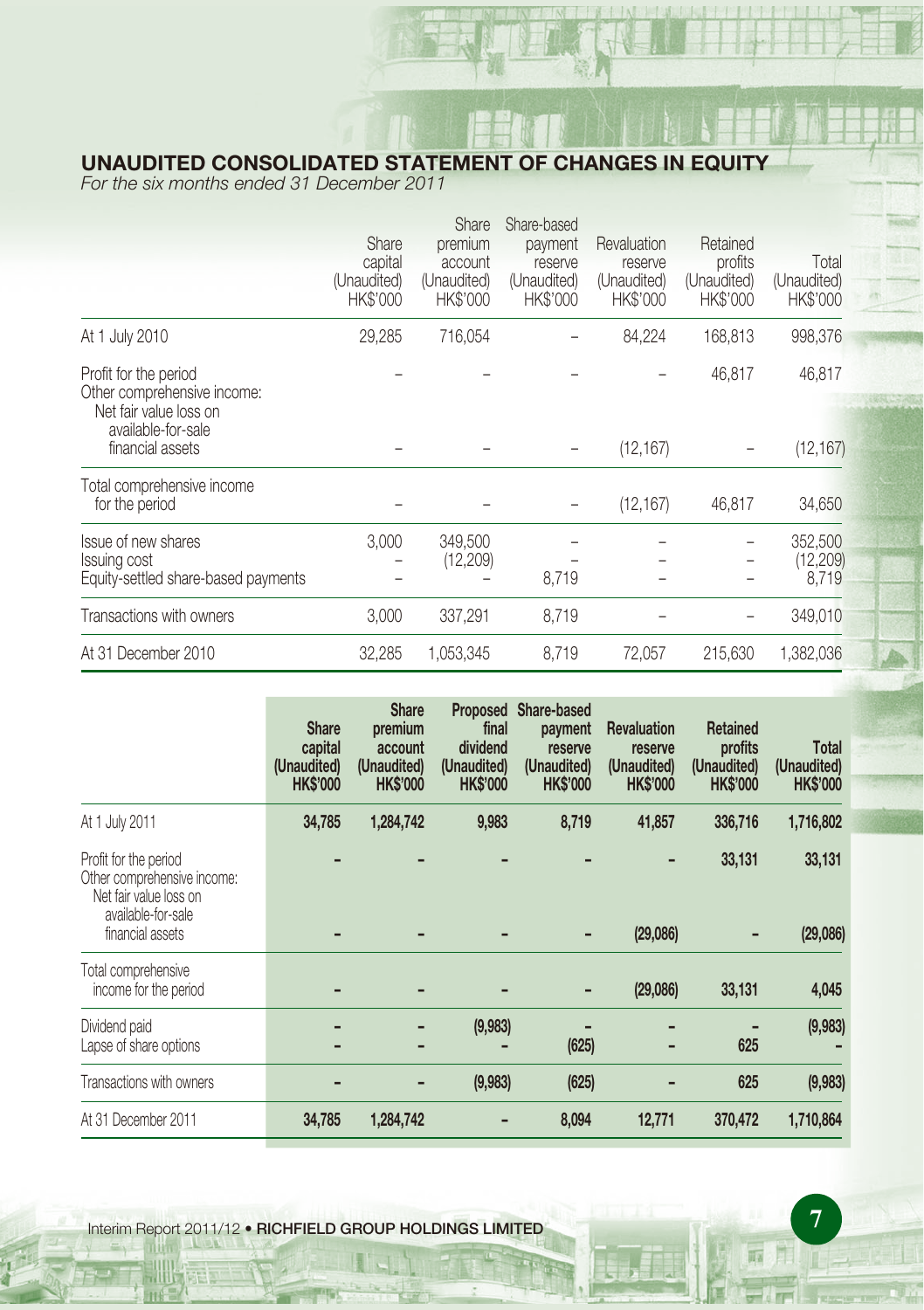# **UNAUDITED CONSOLIDATED STATEMENT OF CHANGES IN EQUITY**

For the six months ended 31 December 2011

|                                                                                                      | Share<br>capital<br>(Unaudited)<br>HK\$'000 | Share<br>premium<br>account<br>(Unaudited)<br><b>HK\$'000</b> | Share-based<br>payment<br>reserve<br>(Unaudited)<br><b>HK\$'000</b> | Revaluation<br>reserve<br>(Unaudited)<br><b>HK\$'000</b> | Retained<br>profits<br>(Unaudited)<br><b>HK\$'000</b> | Total<br>(Unaudited)<br>HK\$'000 |
|------------------------------------------------------------------------------------------------------|---------------------------------------------|---------------------------------------------------------------|---------------------------------------------------------------------|----------------------------------------------------------|-------------------------------------------------------|----------------------------------|
| At 1 July 2010                                                                                       | 29,285                                      | 716,054                                                       |                                                                     | 84,224                                                   | 168,813                                               | 998,376                          |
| Profit for the period<br>Other comprehensive income:<br>Net fair value loss on<br>available-for-sale |                                             |                                                               |                                                                     |                                                          | 46,817                                                | 46,817                           |
| financial assets                                                                                     |                                             |                                                               |                                                                     | (12, 167)                                                |                                                       | (12, 167)                        |
| Total comprehensive income<br>for the period                                                         |                                             |                                                               |                                                                     | (12, 167)                                                | 46,817                                                | 34,650                           |
| Issue of new shares<br>Issuing cost<br>Equity-settled share-based payments                           | 3,000                                       | 349,500<br>(12,209)                                           | 8,719                                                               |                                                          |                                                       | 352,500<br>(12, 209)<br>8,719    |
| Transactions with owners                                                                             | 3,000                                       | 337,291                                                       | 8,719                                                               |                                                          |                                                       | 349,010                          |
| At 31 December 2010                                                                                  | 32,285                                      | 1,053,345                                                     | 8,719                                                               | 72,057                                                   | 215,630                                               | 1,382,036                        |

|                                                                                                                          | <b>Share</b><br>capital<br>(Unaudited)<br><b>HK\$'000</b> | <b>Share</b><br>premium<br>account<br>(Unaudited)<br><b>HK\$'000</b> | <b>Proposed</b><br>final<br>dividend<br>(Unaudited)<br><b>HK\$'000</b> | Share-based<br>payment<br>reserve<br>(Unaudited)<br><b>HK\$'000</b> | <b>Revaluation</b><br>reserve<br>(Unaudited)<br><b>HK\$'000</b> | <b>Retained</b><br>profits<br>(Unaudited)<br><b>HK\$'000</b> | <b>Total</b><br>(Unaudited)<br><b>HK\$'000</b> |
|--------------------------------------------------------------------------------------------------------------------------|-----------------------------------------------------------|----------------------------------------------------------------------|------------------------------------------------------------------------|---------------------------------------------------------------------|-----------------------------------------------------------------|--------------------------------------------------------------|------------------------------------------------|
| At 1 July 2011                                                                                                           | 34,785                                                    | 1,284,742                                                            | 9,983                                                                  | 8,719                                                               | 41,857                                                          | 336,716                                                      | 1,716,802                                      |
| Profit for the period<br>Other comprehensive income:<br>Net fair value loss on<br>available-for-sale<br>financial assets |                                                           |                                                                      |                                                                        |                                                                     | ٠<br>(29,086)                                                   | 33,131                                                       | 33,131<br>(29,086)                             |
|                                                                                                                          |                                                           |                                                                      |                                                                        |                                                                     |                                                                 |                                                              |                                                |
| Total comprehensive<br>income for the period                                                                             |                                                           |                                                                      |                                                                        |                                                                     | (29,086)                                                        | 33,131                                                       | 4,045                                          |
| Dividend paid<br>Lapse of share options                                                                                  |                                                           |                                                                      | (9,983)                                                                | (625)                                                               |                                                                 | 625                                                          | (9,983)                                        |
| Transactions with owners                                                                                                 |                                                           |                                                                      | (9,983)                                                                | (625)                                                               |                                                                 | 625                                                          | (9,983)                                        |
| At 31 December 2011                                                                                                      | 34,785                                                    | 1,284,742                                                            |                                                                        | 8,094                                                               | 12,771                                                          | 370,472                                                      | 1,710,864                                      |

**7** Interim Report 2011/12 • **RICHFIELD GROUP HOLDINGS LIMITED**

晦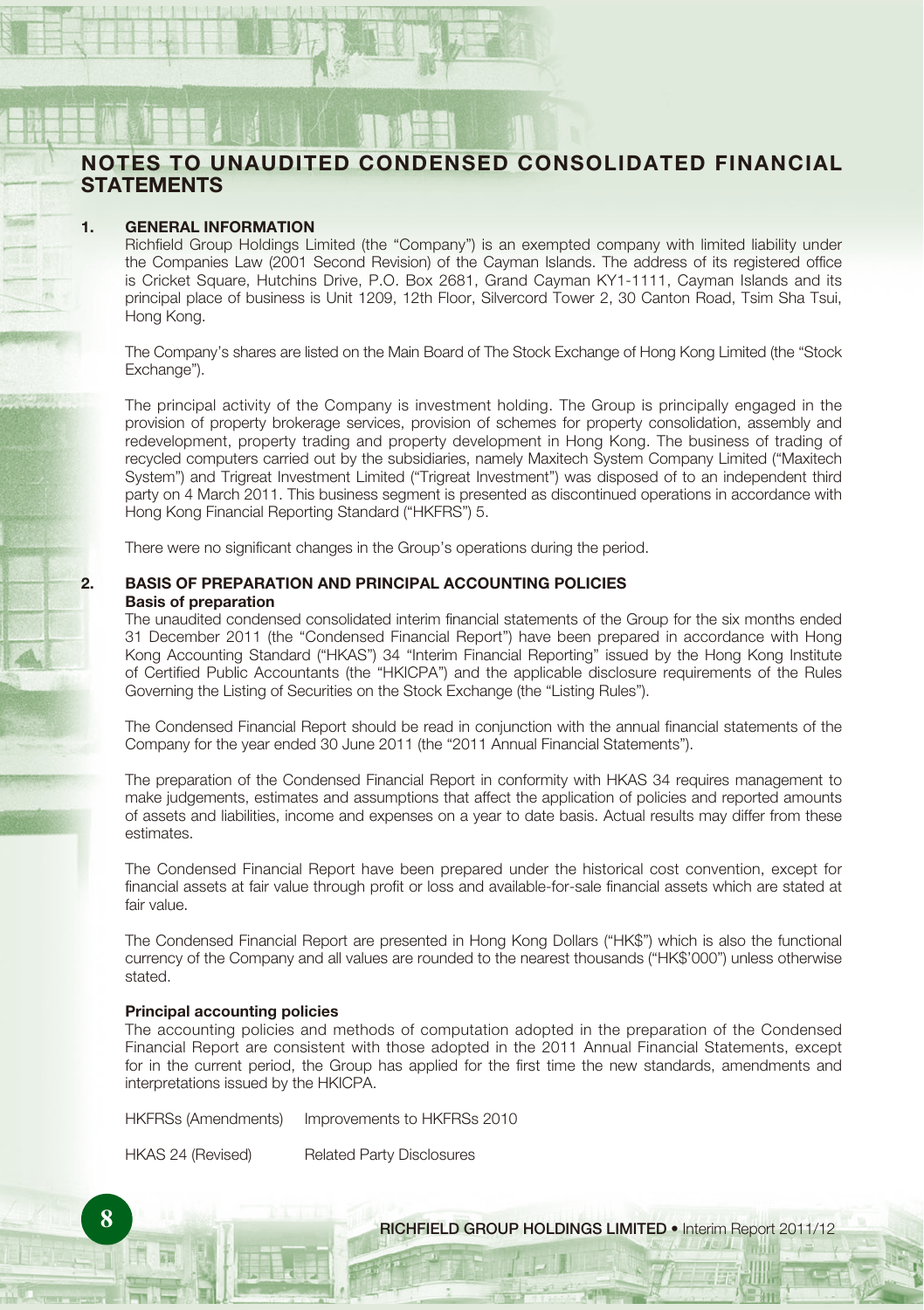# **NOTES TO UNAUDITED CONDENSED CONSOLIDATED FINANCIAL STATEMENTS**

#### **1. GENERAL INFORMATION**

Richfield Group Holdings Limited (the "Company") is an exempted company with limited liability under the Companies Law (2001 Second Revision) of the Cayman Islands. The address of its registered office is Cricket Square, Hutchins Drive, P.O. Box 2681, Grand Cayman KY1-1111, Cayman Islands and its principal place of business is Unit 1209, 12th Floor, Silvercord Tower 2, 30 Canton Road, Tsim Sha Tsui, Hong Kong.

The Company's shares are listed on the Main Board of The Stock Exchange of Hong Kong Limited (the "Stock Exchange").

The principal activity of the Company is investment holding. The Group is principally engaged in the provision of property brokerage services, provision of schemes for property consolidation, assembly and redevelopment, property trading and property development in Hong Kong. The business of trading of recycled computers carried out by the subsidiaries, namely Maxitech System Company Limited ("Maxitech System") and Trigreat Investment Limited ("Trigreat Investment") was disposed of to an independent third party on 4 March 2011. This business segment is presented as discontinued operations in accordance with Hong Kong Financial Reporting Standard ("HKFRS") 5.

There were no significant changes in the Group's operations during the period.

#### **2. BASIS OF PREPARATION AND PRINCIPAL ACCOUNTING POLICIES Basis of preparation**

The unaudited condensed consolidated interim financial statements of the Group for the six months ended 31 December 2011 (the "Condensed Financial Report") have been prepared in accordance with Hong Kong Accounting Standard ("HKAS") 34 "Interim Financial Reporting" issued by the Hong Kong Institute of Certified Public Accountants (the "HKICPA") and the applicable disclosure requirements of the Rules Governing the Listing of Securities on the Stock Exchange (the "Listing Rules").

The Condensed Financial Report should be read in conjunction with the annual financial statements of the Company for the year ended 30 June 2011 (the "2011 Annual Financial Statements").

The preparation of the Condensed Financial Report in conformity with HKAS 34 requires management to make judgements, estimates and assumptions that affect the application of policies and reported amounts of assets and liabilities, income and expenses on a year to date basis. Actual results may differ from these estimates.

The Condensed Financial Report have been prepared under the historical cost convention, except for financial assets at fair value through profit or loss and available-for-sale financial assets which are stated at fair value.

The Condensed Financial Report are presented in Hong Kong Dollars ("HK\$") which is also the functional currency of the Company and all values are rounded to the nearest thousands ("HK\$'000") unless otherwise stated.

#### **Principal accounting policies**

The accounting policies and methods of computation adopted in the preparation of the Condensed Financial Report are consistent with those adopted in the 2011 Annual Financial Statements, except for in the current period, the Group has applied for the first time the new standards, amendments and interpretations issued by the HKICPA.

HKFRSs (Amendments) Improvements to HKFRSs 2010

HKAS 24 (Revised) Related Party Disclosures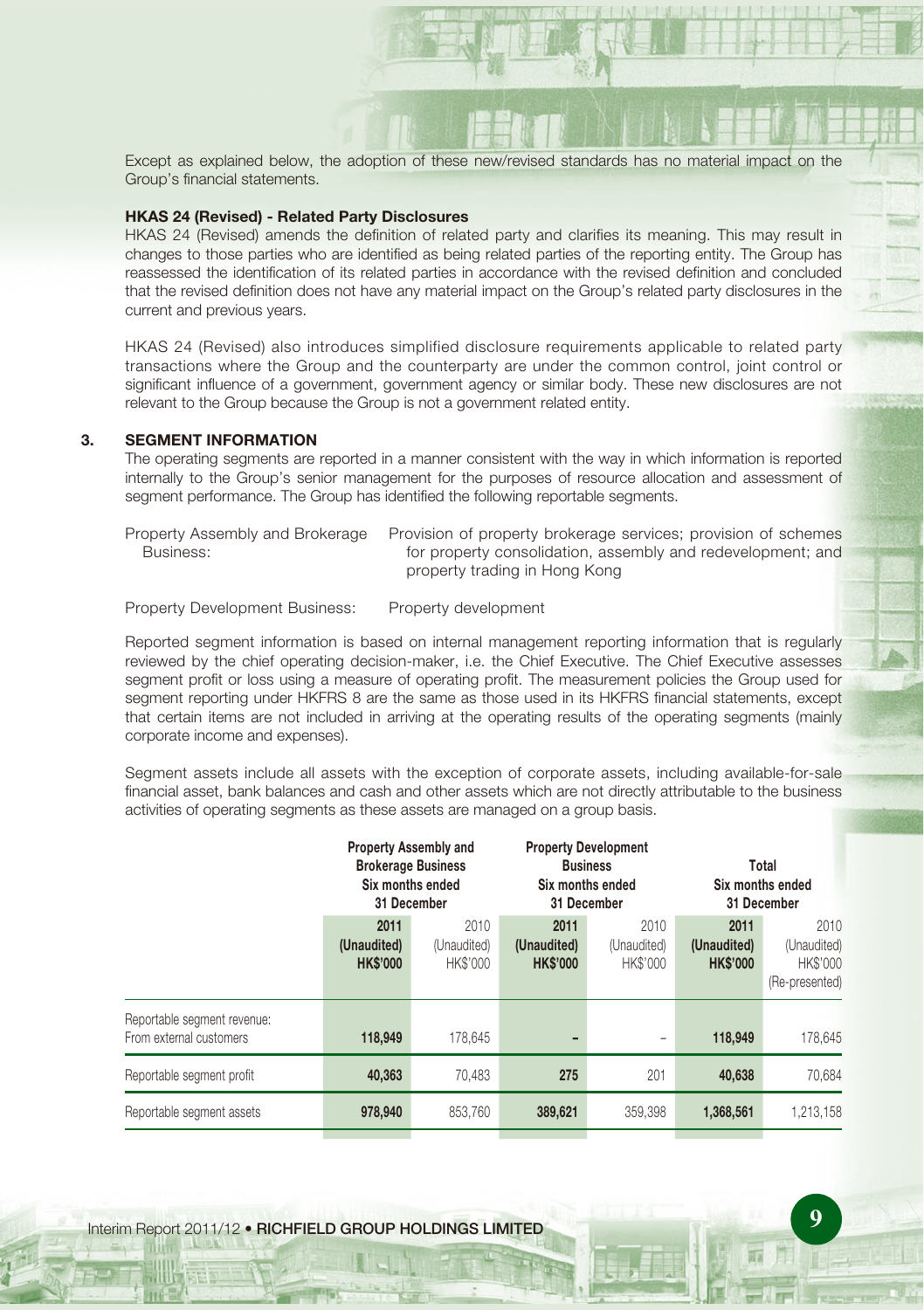Except as explained below, the adoption of these new/revised standards has no material impact on the Group's financial statements.

#### **HKAS 24 (Revised) - Related Party Disclosures**

HKAS 24 (Revised) amends the definition of related party and clarifies its meaning. This may result in changes to those parties who are identified as being related parties of the reporting entity. The Group has reassessed the identification of its related parties in accordance with the revised definition and concluded that the revised definition does not have any material impact on the Group's related party disclosures in the current and previous years.

HKAS 24 (Revised) also introduces simplified disclosure requirements applicable to related party transactions where the Group and the counterparty are under the common control, joint control or significant influence of a government, government agency or similar body. These new disclosures are not relevant to the Group because the Group is not a government related entity.

#### **3. SEGMENT INFORMATION**

The operating segments are reported in a manner consistent with the way in which information is reported internally to the Group's senior management for the purposes of resource allocation and assessment of segment performance. The Group has identified the following reportable segments.

Property Assembly and Brokerage Business: Provision of property brokerage services; provision of schemes for property consolidation, assembly and redevelopment; and property trading in Hong Kong

Property Development Business: Property development

Reported segment information is based on internal management reporting information that is regularly reviewed by the chief operating decision-maker, i.e. the Chief Executive. The Chief Executive assesses segment profit or loss using a measure of operating profit. The measurement policies the Group used for segment reporting under HKFRS 8 are the same as those used in its HKFRS financial statements, except that certain items are not included in arriving at the operating results of the operating segments (mainly corporate income and expenses).

Segment assets include all assets with the exception of corporate assets, including available-for-sale financial asset, bank balances and cash and other assets which are not directly attributable to the business activities of operating segments as these assets are managed on a group basis.

|                                                        | <b>Property Assembly and</b><br><b>Brokerage Business</b><br>Six months ended<br>31 December |                                 | <b>Property Development</b><br><b>Business</b><br>Six months ended<br>31 December |                                 | Total<br>Six months ended<br>31 December |                                                   |
|--------------------------------------------------------|----------------------------------------------------------------------------------------------|---------------------------------|-----------------------------------------------------------------------------------|---------------------------------|------------------------------------------|---------------------------------------------------|
|                                                        | 2011<br>(Unaudited)<br><b>HK\$'000</b>                                                       | 2010<br>(Unaudited)<br>HK\$'000 | 2011<br>(Unaudited)<br><b>HK\$'000</b>                                            | 2010<br>(Unaudited)<br>HK\$'000 | 2011<br>(Unaudited)<br><b>HK\$'000</b>   | 2010<br>(Unaudited)<br>HK\$'000<br>(Re-presented) |
| Reportable segment revenue:<br>From external customers | 118.949                                                                                      | 178.645                         |                                                                                   |                                 | 118,949                                  | 178.645                                           |
| Reportable segment profit                              | 40.363                                                                                       | 70.483                          | 275                                                                               | 201                             | 40,638                                   | 70.684                                            |
| Reportable segment assets                              | 978,940                                                                                      | 853.760                         | 389.621                                                                           | 359.398                         | 1.368.561                                | 1.213.158                                         |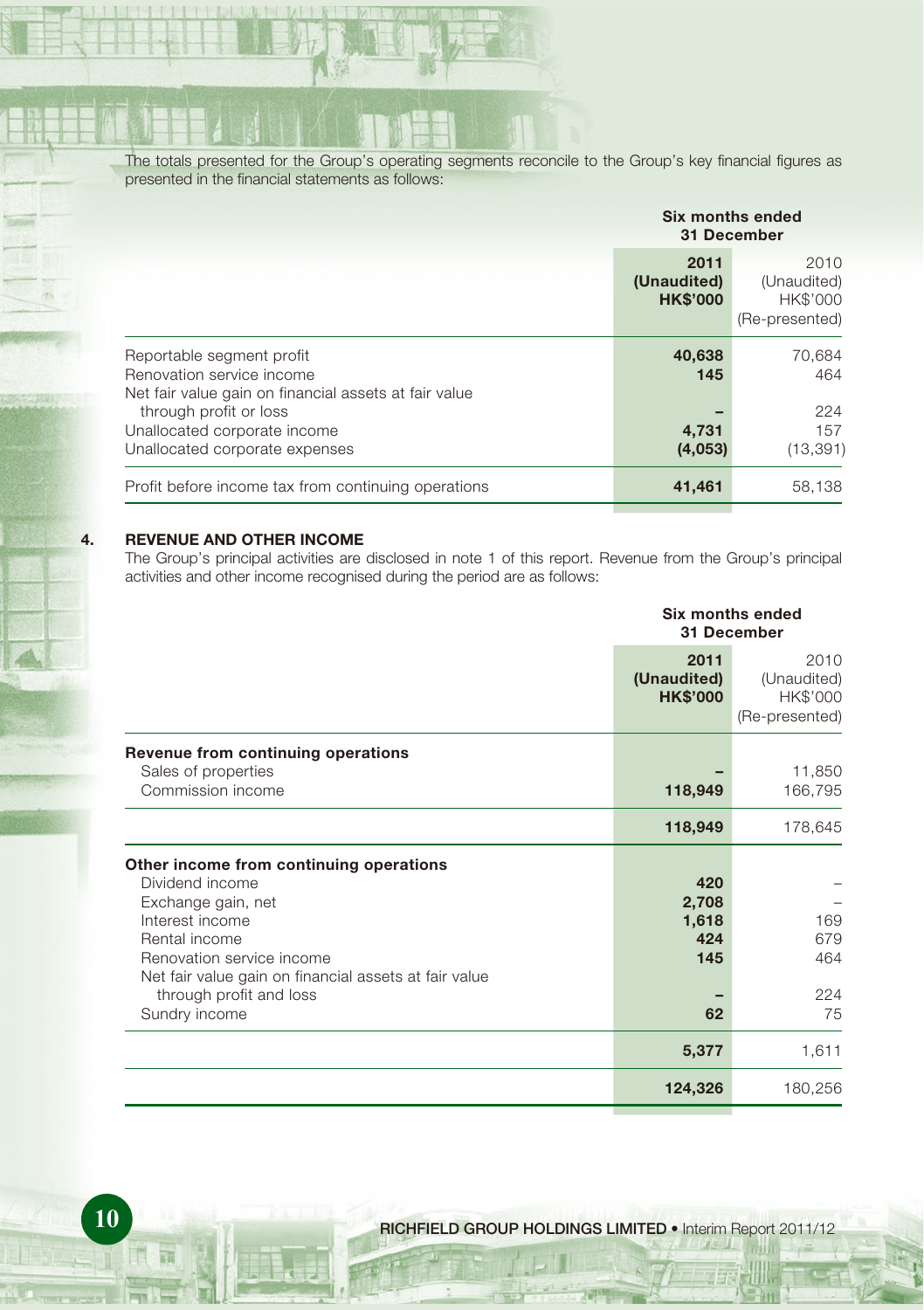The totals presented for the Group's operating segments reconcile to the Group's key financial figures as presented in the financial statements as follows:

|                                                                                                                 | Six months ended<br>31 December        |                                                   |  |
|-----------------------------------------------------------------------------------------------------------------|----------------------------------------|---------------------------------------------------|--|
|                                                                                                                 | 2011<br>(Unaudited)<br><b>HK\$'000</b> | 2010<br>(Unaudited)<br>HK\$'000<br>(Re-presented) |  |
| Reportable segment profit<br>Renovation service income<br>Net fair value gain on financial assets at fair value | 40,638<br>145                          | 70,684<br>464                                     |  |
| through profit or loss<br>Unallocated corporate income<br>Unallocated corporate expenses                        | 4,731<br>(4,053)                       | 224<br>157<br>(13, 391)                           |  |
| Profit before income tax from continuing operations                                                             | 41,461                                 | 58,138                                            |  |

#### **4. REVENUE AND OTHER INCOME**

The Group's principal activities are disclosed in note 1 of this report. Revenue from the Group's principal activities and other income recognised during the period are as follows:

|                                                                                                                                                                                                                                                        |                                           | Six months ended<br>31 December                   |  |  |
|--------------------------------------------------------------------------------------------------------------------------------------------------------------------------------------------------------------------------------------------------------|-------------------------------------------|---------------------------------------------------|--|--|
|                                                                                                                                                                                                                                                        | 2011<br>(Unaudited)<br><b>HK\$'000</b>    | 2010<br>(Unaudited)<br>HK\$'000<br>(Re-presented) |  |  |
| Revenue from continuing operations<br>Sales of properties<br>Commission income                                                                                                                                                                         | 118,949                                   | 11,850<br>166,795                                 |  |  |
|                                                                                                                                                                                                                                                        | 118,949                                   | 178,645                                           |  |  |
| Other income from continuing operations<br>Dividend income<br>Exchange gain, net<br>Interest income<br>Rental income<br>Renovation service income<br>Net fair value gain on financial assets at fair value<br>through profit and loss<br>Sundry income | 420<br>2,708<br>1,618<br>424<br>145<br>62 | 169<br>679<br>464<br>224<br>75                    |  |  |
|                                                                                                                                                                                                                                                        | 5,377                                     | 1,611                                             |  |  |
|                                                                                                                                                                                                                                                        | 124,326                                   | 180,256                                           |  |  |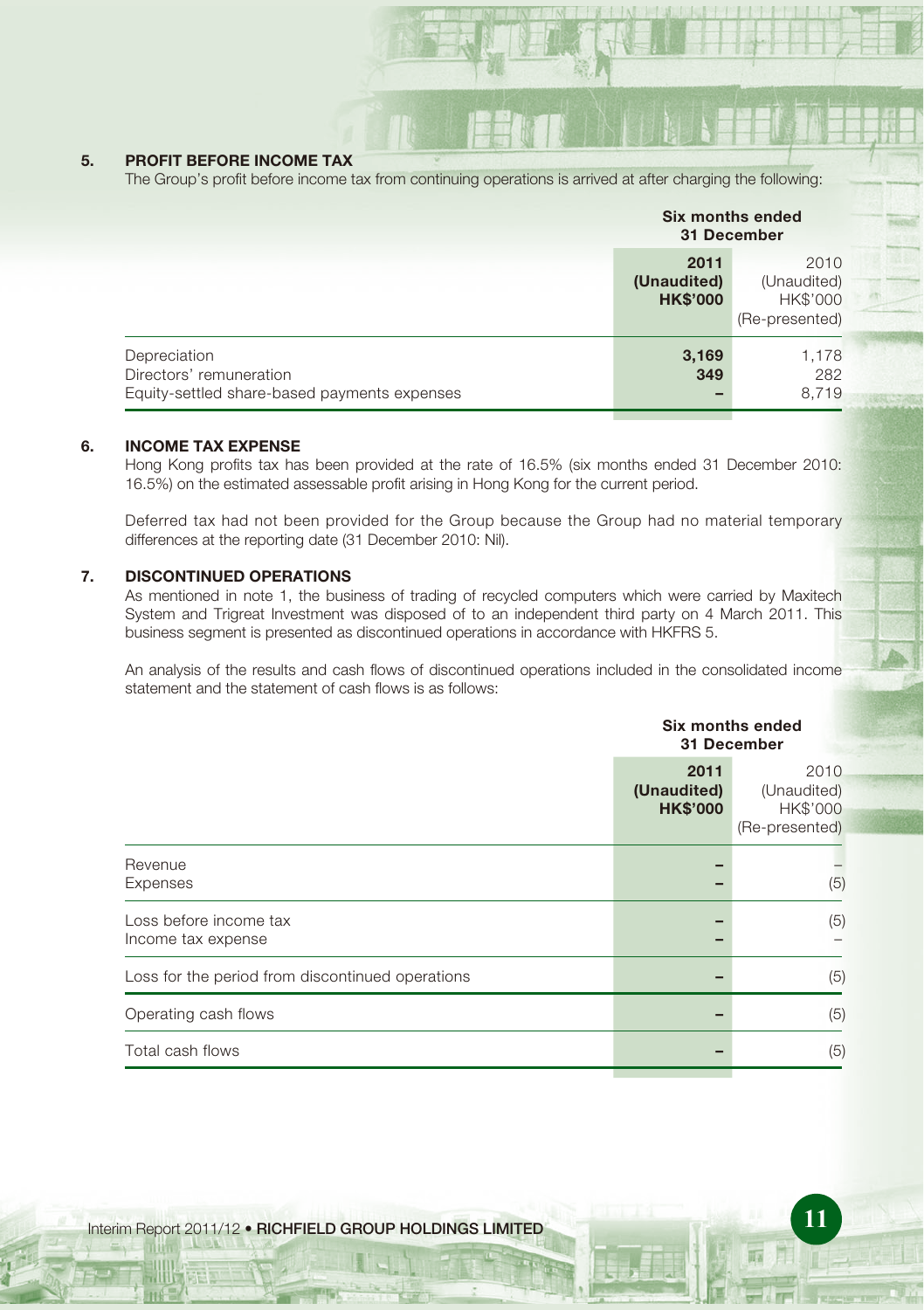#### **5. PROFIT BEFORE INCOME TAX**

The Group's profit before income tax from continuing operations is arrived at after charging the following:

|                                                                                         | Six months ended<br>31 December        |                                                          |
|-----------------------------------------------------------------------------------------|----------------------------------------|----------------------------------------------------------|
|                                                                                         | 2011<br>(Unaudited)<br><b>HK\$'000</b> | 2010<br>(Unaudited)<br><b>HK\$'000</b><br>(Re-presented) |
| Depreciation<br>Directors' remuneration<br>Equity-settled share-based payments expenses | 3,169<br>349                           | 1,178<br>282<br>8.719                                    |

#### **6. INCOME TAX EXPENSE**

Hong Kong profits tax has been provided at the rate of 16.5% (six months ended 31 December 2010: 16.5%) on the estimated assessable profit arising in Hong Kong for the current period.

Deferred tax had not been provided for the Group because the Group had no material temporary differences at the reporting date (31 December 2010: Nil).

#### **7. DISCONTINUED OPERATIONS**

As mentioned in note 1, the business of trading of recycled computers which were carried by Maxitech System and Trigreat Investment was disposed of to an independent third party on 4 March 2011. This business segment is presented as discontinued operations in accordance with HKFRS 5.

An analysis of the results and cash flows of discontinued operations included in the consolidated income statement and the statement of cash flows is as follows:

|                                                  | Six months ended<br>31 December        |                                                   |  |
|--------------------------------------------------|----------------------------------------|---------------------------------------------------|--|
|                                                  | 2011<br>(Unaudited)<br><b>HK\$'000</b> | 2010<br>(Unaudited)<br>HK\$'000<br>(Re-presented) |  |
| Revenue<br>Expenses                              |                                        | (5)                                               |  |
| Loss before income tax<br>Income tax expense     |                                        | (5)                                               |  |
| Loss for the period from discontinued operations |                                        | (5)                                               |  |
| Operating cash flows                             |                                        | (5)                                               |  |
| Total cash flows                                 |                                        | (5)                                               |  |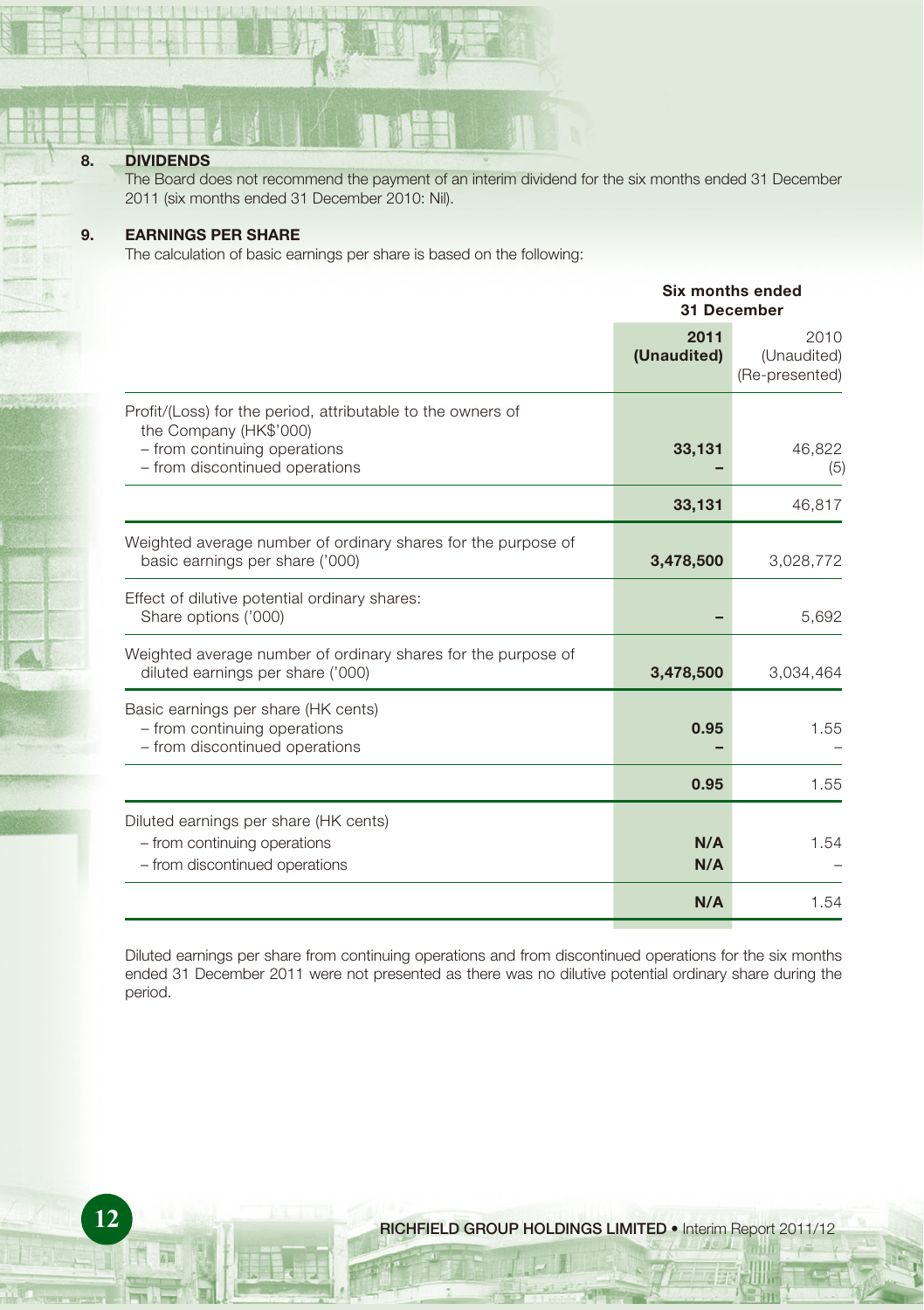#### **8. DIVIDENDS**

The Board does not recommend the payment of an interim dividend for the six months ended 31 December 2011 (six months ended 31 December 2010: Nil).

#### **9. EARNINGS PER SHARE**

The calculation of basic earnings per share is based on the following:

|                                                                                                                                                         | Six months ended<br><b>31 December</b> |                                       |
|---------------------------------------------------------------------------------------------------------------------------------------------------------|----------------------------------------|---------------------------------------|
|                                                                                                                                                         | 2011<br>(Unaudited)                    | 2010<br>(Unaudited)<br>(Re-presented) |
| Profit/(Loss) for the period, attributable to the owners of<br>the Company (HK\$'000)<br>- from continuing operations<br>- from discontinued operations | 33,131                                 | 46,822<br>(5)                         |
|                                                                                                                                                         | 33,131                                 | 46,817                                |
| Weighted average number of ordinary shares for the purpose of<br>basic earnings per share ('000)                                                        | 3,478,500                              | 3,028,772                             |
| Effect of dilutive potential ordinary shares:<br>Share options ('000)                                                                                   |                                        | 5,692                                 |
| Weighted average number of ordinary shares for the purpose of<br>diluted earnings per share ('000)                                                      | 3,478,500                              | 3,034,464                             |
| Basic earnings per share (HK cents)<br>- from continuing operations<br>- from discontinued operations                                                   | 0.95                                   | 1.55                                  |
|                                                                                                                                                         | 0.95                                   | 1.55                                  |
| Diluted earnings per share (HK cents)<br>- from continuing operations<br>- from discontinued operations                                                 | N/A<br>N/A                             | 1.54                                  |
|                                                                                                                                                         | N/A                                    | 1.54                                  |

Diluted earnings per share from continuing operations and from discontinued operations for the six months ended 31 December 2011 were not presented as there was no dilutive potential ordinary share during the period.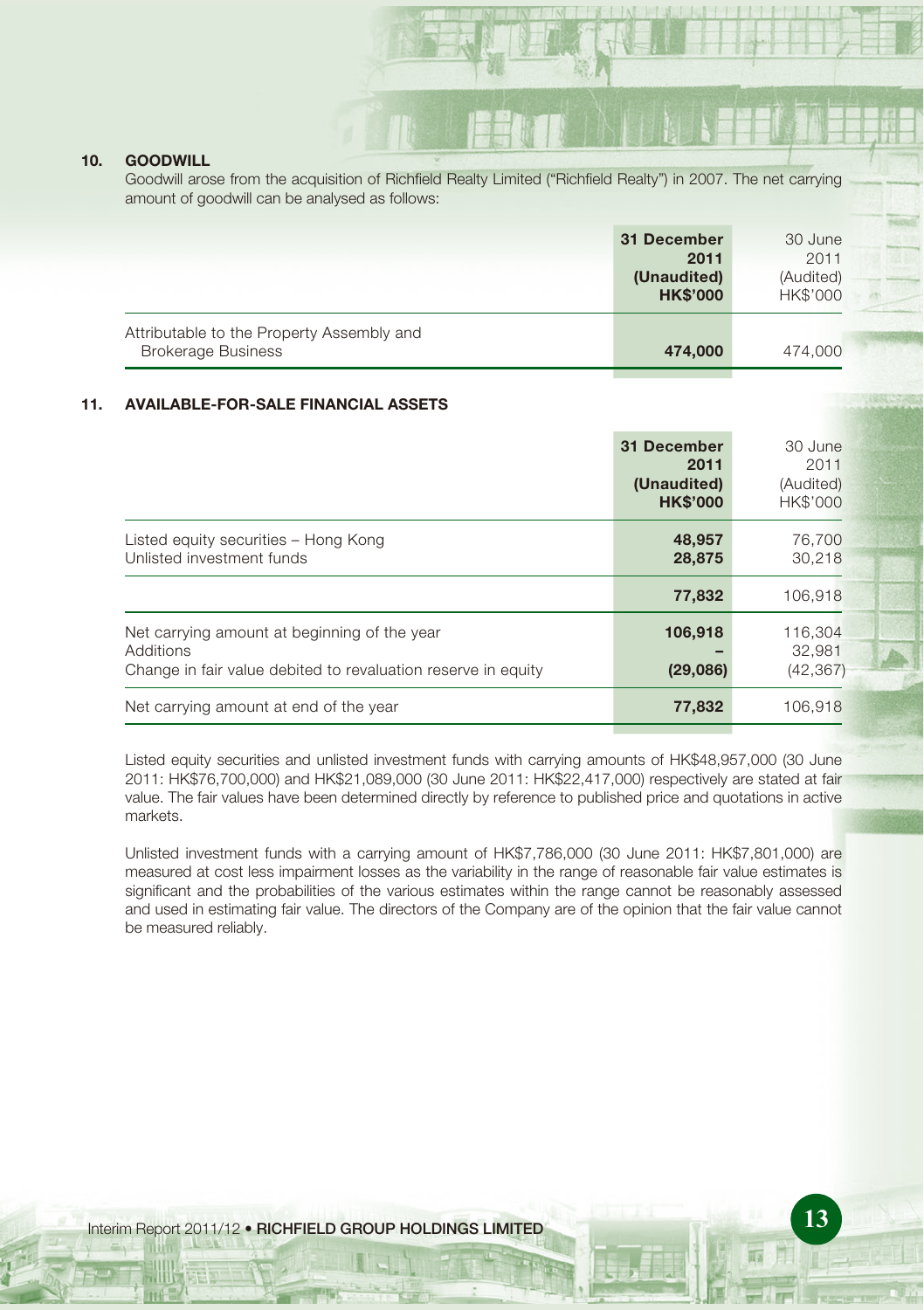#### **10. GOODWILL**

Goodwill arose from the acquisition of Richfield Realty Limited ("Richfield Realty") in 2007. The net carrying amount of goodwill can be analysed as follows:

|                                                                        | 31 December<br>2011<br>(Unaudited)<br><b>HK\$'000</b> | 30 June<br>2011<br>(Audited)<br><b>HK\$'000</b> |
|------------------------------------------------------------------------|-------------------------------------------------------|-------------------------------------------------|
| Attributable to the Property Assembly and<br><b>Brokerage Business</b> | 474,000                                               | 474,000                                         |

### **11. AVAILABLE-FOR-SALE FINANCIAL ASSETS**

|                                                                                                                            | 31 December<br>2011<br>(Unaudited)<br><b>HK\$'000</b> | 30 June<br>2011<br>(Audited)<br><b>HK\$'000</b> |
|----------------------------------------------------------------------------------------------------------------------------|-------------------------------------------------------|-------------------------------------------------|
| Listed equity securities - Hong Kong<br>Unlisted investment funds                                                          | 48,957<br>28,875                                      | 76,700<br>30.218                                |
|                                                                                                                            | 77,832                                                | 106,918                                         |
| Net carrying amount at beginning of the year<br>Additions<br>Change in fair value debited to revaluation reserve in equity | 106,918<br>(29,086)                                   | 116.304<br>32.981<br>(42, 367)                  |
| Net carrying amount at end of the year                                                                                     | 77.832                                                | 106.918                                         |

Listed equity securities and unlisted investment funds with carrying amounts of HK\$48,957,000 (30 June 2011: HK\$76,700,000) and HK\$21,089,000 (30 June 2011: HK\$22,417,000) respectively are stated at fair value. The fair values have been determined directly by reference to published price and quotations in active markets.

Unlisted investment funds with a carrying amount of HK\$7,786,000 (30 June 2011: HK\$7,801,000) are measured at cost less impairment losses as the variability in the range of reasonable fair value estimates is significant and the probabilities of the various estimates within the range cannot be reasonably assessed and used in estimating fair value. The directors of the Company are of the opinion that the fair value cannot be measured reliably.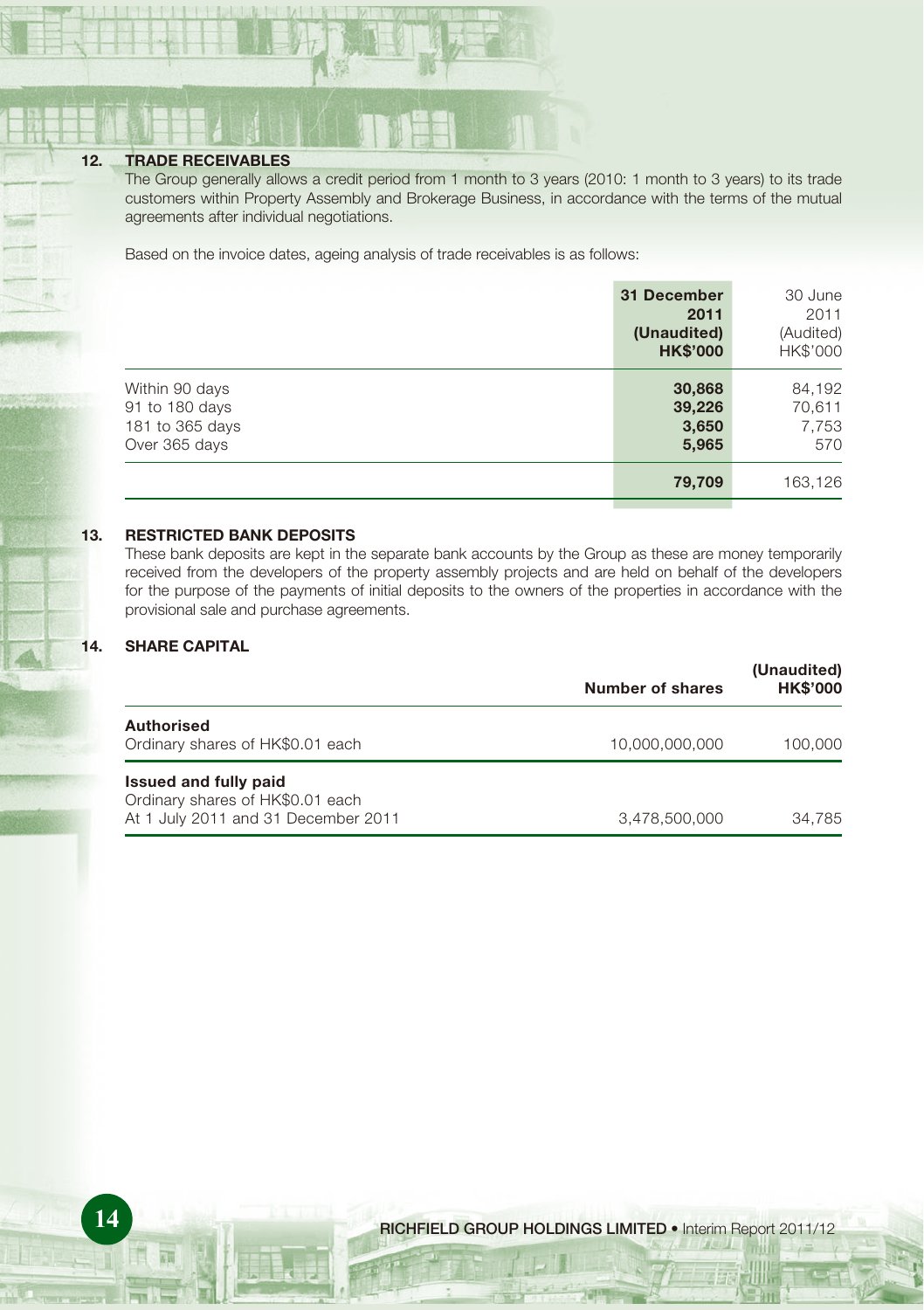#### **12. TRADE RECEIVABLES**

The Group generally allows a credit period from 1 month to 3 years (2010: 1 month to 3 years) to its trade customers within Property Assembly and Brokerage Business, in accordance with the terms of the mutual agreements after individual negotiations.

Based on the invoice dates, ageing analysis of trade receivables is as follows:

|                                                                      | 31 December<br>2011<br>(Unaudited)<br><b>HK\$'000</b> | 30 June<br>2011<br>(Audited)<br>HK\$'000 |
|----------------------------------------------------------------------|-------------------------------------------------------|------------------------------------------|
| Within 90 days<br>91 to 180 days<br>181 to 365 days<br>Over 365 days | 30,868<br>39,226<br>3,650<br>5,965                    | 84,192<br>70,611<br>7,753<br>570         |
|                                                                      | 79,709                                                | 163,126                                  |

#### **13. RESTRICTED BANK DEPOSITS**

These bank deposits are kept in the separate bank accounts by the Group as these are money temporarily received from the developers of the property assembly projects and are held on behalf of the developers for the purpose of the payments of initial deposits to the owners of the properties in accordance with the provisional sale and purchase agreements.

### **14. SHARE CAPITAL**

|                                                                                                  | Number of shares | (Unaudited)<br><b>HK\$'000</b> |
|--------------------------------------------------------------------------------------------------|------------------|--------------------------------|
| <b>Authorised</b><br>Ordinary shares of HK\$0.01 each                                            | 10.000.000.000   | 100.000                        |
| Issued and fully paid<br>Ordinary shares of HK\$0.01 each<br>At 1 July 2011 and 31 December 2011 | 3.478.500.000    | 34.785                         |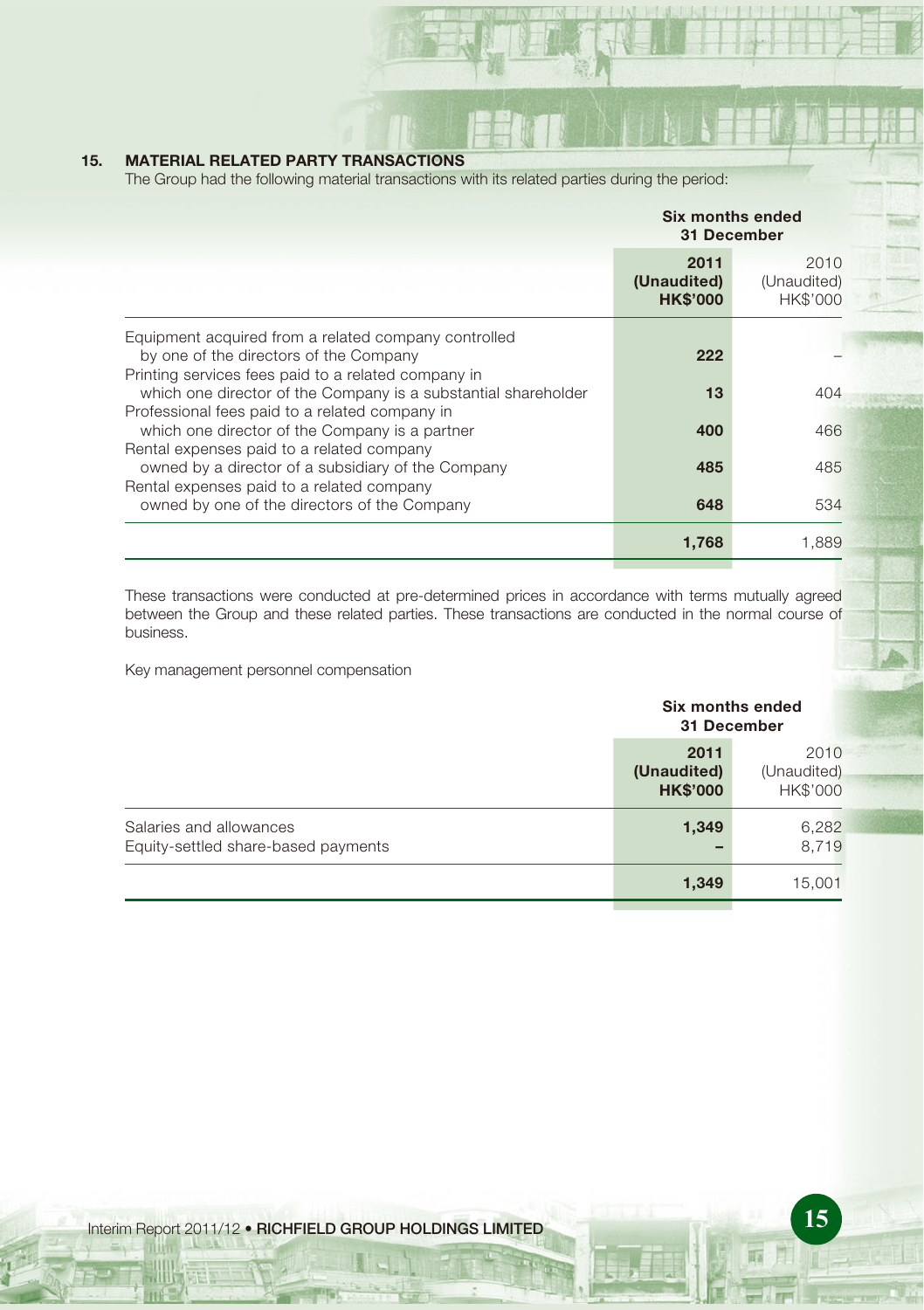### **15. MATERIAL RELATED PARTY TRANSACTIONS**

The Group had the following material transactions with its related parties during the period:

|                                                                                                                                                       | Six months ended<br>31 December        |                                 |  |
|-------------------------------------------------------------------------------------------------------------------------------------------------------|----------------------------------------|---------------------------------|--|
|                                                                                                                                                       | 2011<br>(Unaudited)<br><b>HK\$'000</b> | 2010<br>(Unaudited)<br>HK\$'000 |  |
| Equipment acquired from a related company controlled<br>by one of the directors of the Company<br>Printing services fees paid to a related company in | 222                                    |                                 |  |
| which one director of the Company is a substantial shareholder<br>Professional fees paid to a related company in                                      | 13                                     | 404                             |  |
| which one director of the Company is a partner<br>Rental expenses paid to a related company                                                           | 400                                    | 466                             |  |
| owned by a director of a subsidiary of the Company<br>Rental expenses paid to a related company                                                       | 485                                    | 485                             |  |
| owned by one of the directors of the Company                                                                                                          | 648                                    | 534                             |  |
|                                                                                                                                                       | 1.768                                  | 1.889                           |  |

These transactions were conducted at pre-determined prices in accordance with terms mutually agreed between the Group and these related parties. These transactions are conducted in the normal course of business.

Key management personnel compensation

|                                                                |                                        | Six months ended<br>31 December |  |
|----------------------------------------------------------------|----------------------------------------|---------------------------------|--|
|                                                                | 2011<br>(Unaudited)<br><b>HK\$'000</b> | 2010<br>(Unaudited)<br>HK\$'000 |  |
| Salaries and allowances<br>Equity-settled share-based payments | 1,349                                  | 6,282<br>8.719                  |  |
|                                                                | 1,349                                  | 15,001                          |  |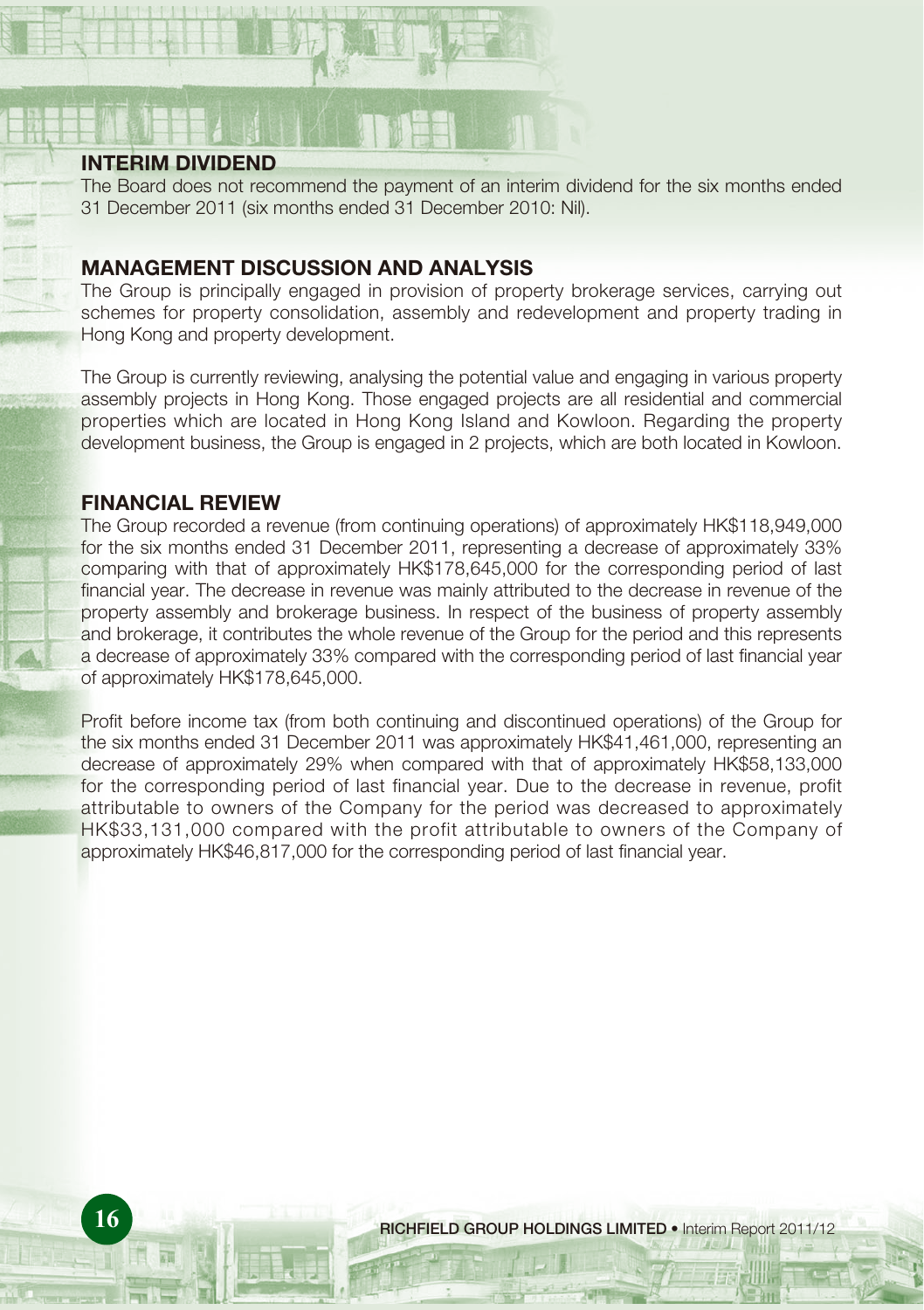# **INTERIM DIVIDEND**

The Board does not recommend the payment of an interim dividend for the six months ended 31 December 2011 (six months ended 31 December 2010: Nil).

# **MANAGEMENT DISCUSSION AND ANALYSIS**

The Group is principally engaged in provision of property brokerage services, carrying out schemes for property consolidation, assembly and redevelopment and property trading in Hong Kong and property development.

The Group is currently reviewing, analysing the potential value and engaging in various property assembly projects in Hong Kong. Those engaged projects are all residential and commercial properties which are located in Hong Kong Island and Kowloon. Regarding the property development business, the Group is engaged in 2 projects, which are both located in Kowloon.

# **FINANCIAL REVIEW**

The Group recorded a revenue (from continuing operations) of approximately HK\$118,949,000 for the six months ended 31 December 2011, representing a decrease of approximately 33% comparing with that of approximately HK\$178,645,000 for the corresponding period of last financial year. The decrease in revenue was mainly attributed to the decrease in revenue of the property assembly and brokerage business. In respect of the business of property assembly and brokerage, it contributes the whole revenue of the Group for the period and this represents a decrease of approximately 33% compared with the corresponding period of last financial year of approximately HK\$178,645,000.

Profit before income tax (from both continuing and discontinued operations) of the Group for the six months ended 31 December 2011 was approximately HK\$41,461,000, representing an decrease of approximately 29% when compared with that of approximately HK\$58,133,000 for the corresponding period of last financial year. Due to the decrease in revenue, profit attributable to owners of the Company for the period was decreased to approximately HK\$33,131,000 compared with the profit attributable to owners of the Company of approximately HK\$46,817,000 for the corresponding period of last financial year.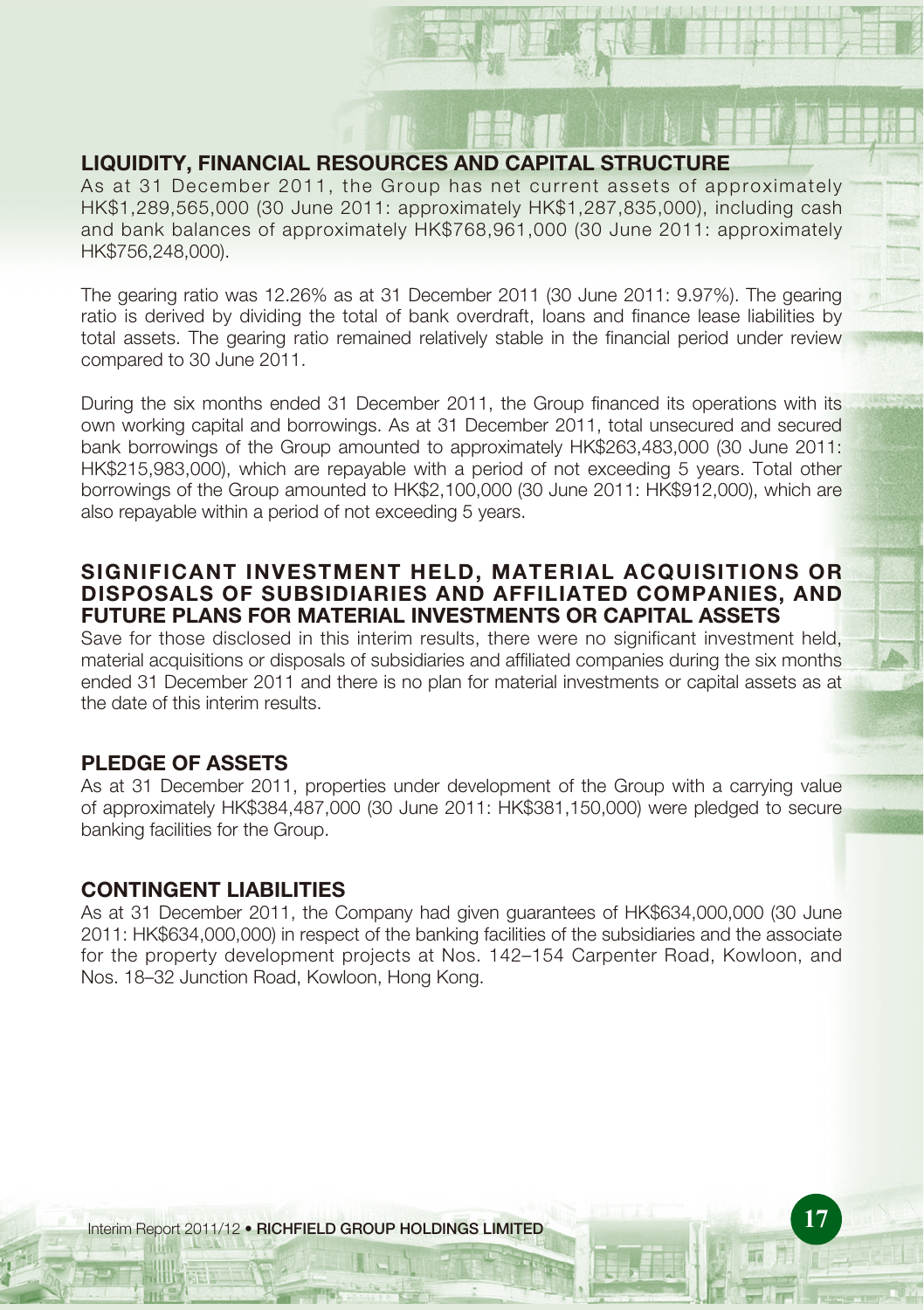# **LIQUIDITY, FINANCIAL RESOURCES AND CAPITAL STRUCTURE**

As at 31 December 2011, the Group has net current assets of approximately HK\$1,289,565,000 (30 June 2011: approximately HK\$1,287,835,000), including cash and bank balances of approximately HK\$768,961,000 (30 June 2011: approximately HK\$756,248,000).

The gearing ratio was 12.26% as at 31 December 2011 (30 June 2011: 9.97%). The gearing ratio is derived by dividing the total of bank overdraft, loans and finance lease liabilities by total assets. The gearing ratio remained relatively stable in the financial period under review compared to 30 June 2011.

During the six months ended 31 December 2011, the Group financed its operations with its own working capital and borrowings. As at 31 December 2011, total unsecured and secured bank borrowings of the Group amounted to approximately HK\$263,483,000 (30 June 2011: HK\$215,983,000), which are repayable with a period of not exceeding 5 years. Total other borrowings of the Group amounted to HK\$2,100,000 (30 June 2011: HK\$912,000), which are also repayable within a period of not exceeding 5 years.

# **SIGNIFICANT INVESTMENT HELD, MATERIAL ACQUISITIONS OR DISPOSALS OF SUBSIDIARIES AND AFFILIATED COMPANIES, AND FUTURE PLANS FOR MATERIAL INVESTMENTS OR CAPITAL ASSETS**

Save for those disclosed in this interim results, there were no significant investment held, material acquisitions or disposals of subsidiaries and affiliated companies during the six months ended 31 December 2011 and there is no plan for material investments or capital assets as at the date of this interim results.

# **PLEDGE OF ASSETS**

As at 31 December 2011, properties under development of the Group with a carrying value of approximately HK\$384,487,000 (30 June 2011: HK\$381,150,000) were pledged to secure banking facilities for the Group.

# **CONTINGENT LIABILITIES**

As at 31 December 2011, the Company had given guarantees of HK\$634,000,000 (30 June 2011: HK\$634,000,000) in respect of the banking facilities of the subsidiaries and the associate for the property development projects at Nos. 142–154 Carpenter Road, Kowloon, and Nos. 18–32 Junction Road, Kowloon, Hong Kong.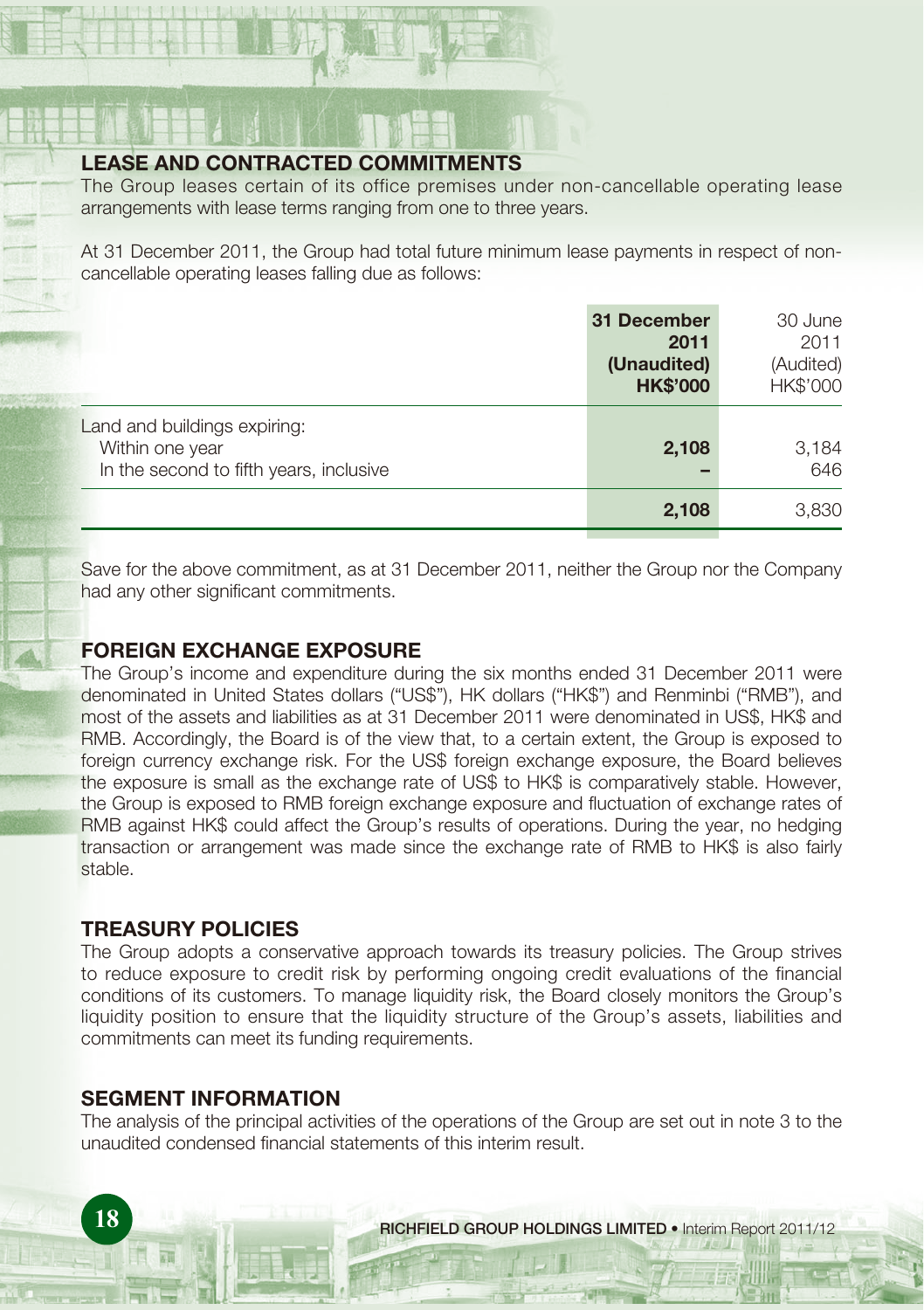# **LEASE AND CONTRACTED COMMITMENTS**

The Group leases certain of its office premises under non-cancellable operating lease arrangements with lease terms ranging from one to three years.

At 31 December 2011, the Group had total future minimum lease payments in respect of noncancellable operating leases falling due as follows:

|                                                                                            | 31 December<br>2011<br>(Unaudited)<br><b>HK\$'000</b> | 30 June<br>2011<br>(Audited)<br>HK\$'000 |
|--------------------------------------------------------------------------------------------|-------------------------------------------------------|------------------------------------------|
| Land and buildings expiring:<br>Within one year<br>In the second to fifth years, inclusive | 2,108                                                 | 3,184<br>646                             |
|                                                                                            | 2,108                                                 | 3,830                                    |

Save for the above commitment, as at 31 December 2011, neither the Group nor the Company had any other significant commitments.

# **FOREIGN EXCHANGE EXPOSURE**

The Group's income and expenditure during the six months ended 31 December 2011 were denominated in United States dollars ("US\$"), HK dollars ("HK\$") and Renminbi ("RMB"), and most of the assets and liabilities as at 31 December 2011 were denominated in US\$, HK\$ and RMB. Accordingly, the Board is of the view that, to a certain extent, the Group is exposed to foreign currency exchange risk. For the US\$ foreign exchange exposure, the Board believes the exposure is small as the exchange rate of US\$ to HK\$ is comparatively stable. However, the Group is exposed to RMB foreign exchange exposure and fluctuation of exchange rates of RMB against HK\$ could affect the Group's results of operations. During the year, no hedging transaction or arrangement was made since the exchange rate of RMB to HK\$ is also fairly stable.

# **TREASURY POLICIES**

The Group adopts a conservative approach towards its treasury policies. The Group strives to reduce exposure to credit risk by performing ongoing credit evaluations of the financial conditions of its customers. To manage liquidity risk, the Board closely monitors the Group's liquidity position to ensure that the liquidity structure of the Group's assets, liabilities and commitments can meet its funding requirements.

# **SEGMENT INFORMATION**

The analysis of the principal activities of the operations of the Group are set out in note 3 to the unaudited condensed financial statements of this interim result.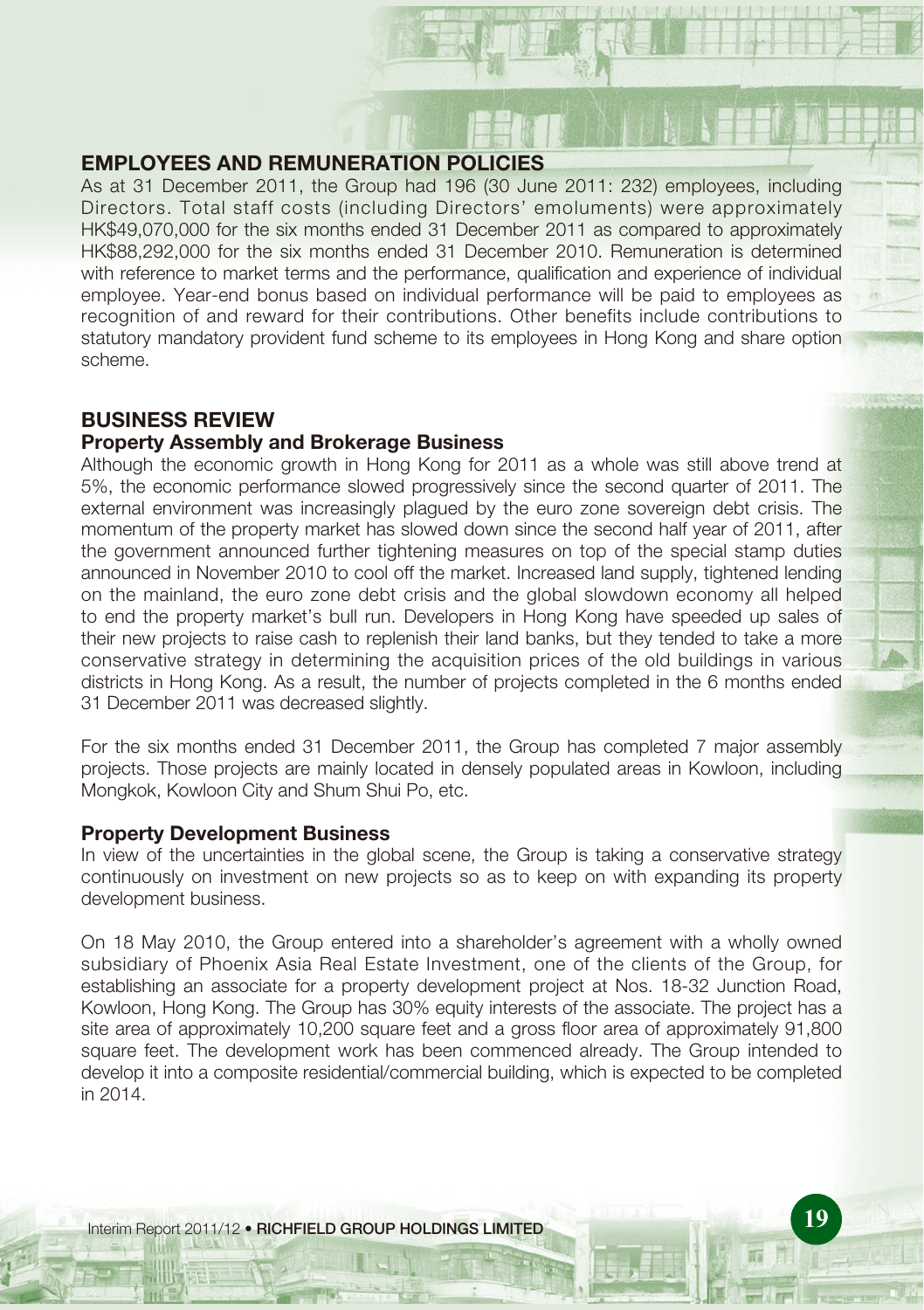# **EMPLOYEES AND REMUNERATION POLICIES**

As at 31 December 2011, the Group had 196 (30 June 2011: 232) employees, including Directors. Total staff costs (including Directors' emoluments) were approximately HK\$49,070,000 for the six months ended 31 December 2011 as compared to approximately HK\$88,292,000 for the six months ended 31 December 2010. Remuneration is determined with reference to market terms and the performance, qualification and experience of individual employee. Year-end bonus based on individual performance will be paid to employees as recognition of and reward for their contributions. Other benefits include contributions to statutory mandatory provident fund scheme to its employees in Hong Kong and share option scheme.

# **BUSINESS REVIEW**

# **Property Assembly and Brokerage Business**

Although the economic growth in Hong Kong for 2011 as a whole was still above trend at 5%, the economic performance slowed progressively since the second quarter of 2011. The external environment was increasingly plagued by the euro zone sovereign debt crisis. The momentum of the property market has slowed down since the second half year of 2011, after the government announced further tightening measures on top of the special stamp duties announced in November 2010 to cool off the market. Increased land supply, tightened lending on the mainland, the euro zone debt crisis and the global slowdown economy all helped to end the property market's bull run. Developers in Hong Kong have speeded up sales of their new projects to raise cash to replenish their land banks, but they tended to take a more conservative strategy in determining the acquisition prices of the old buildings in various districts in Hong Kong. As a result, the number of projects completed in the 6 months ended 31 December 2011 was decreased slightly.

For the six months ended 31 December 2011, the Group has completed 7 major assembly projects. Those projects are mainly located in densely populated areas in Kowloon, including Mongkok, Kowloon City and Shum Shui Po, etc.

# **Property Development Business**

In view of the uncertainties in the global scene, the Group is taking a conservative strategy continuously on investment on new projects so as to keep on with expanding its property development business.

On 18 May 2010, the Group entered into a shareholder's agreement with a wholly owned subsidiary of Phoenix Asia Real Estate Investment, one of the clients of the Group, for establishing an associate for a property development project at Nos. 18-32 Junction Road, Kowloon, Hong Kong. The Group has 30% equity interests of the associate. The project has a site area of approximately 10,200 square feet and a gross floor area of approximately 91,800 square feet. The development work has been commenced already. The Group intended to develop it into a composite residential/commercial building, which is expected to be completed in 2014.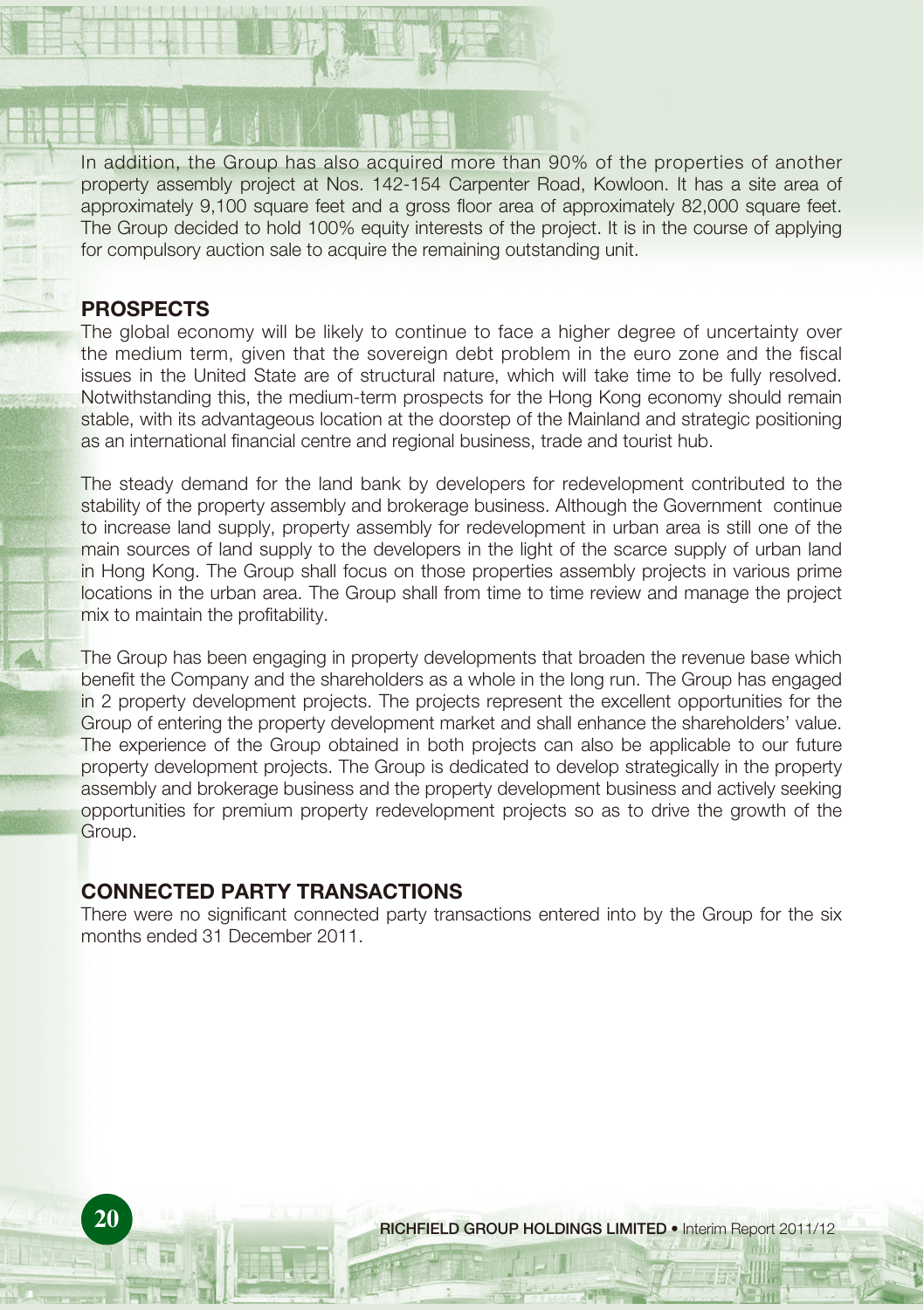In addition, the Group has also acquired more than 90% of the properties of another property assembly project at Nos. 142-154 Carpenter Road, Kowloon. It has a site area of approximately 9,100 square feet and a gross floor area of approximately 82,000 square feet. The Group decided to hold 100% equity interests of the project. It is in the course of applying for compulsory auction sale to acquire the remaining outstanding unit.

# **PROSPECTS**

The global economy will be likely to continue to face a higher degree of uncertainty over the medium term, given that the sovereign debt problem in the euro zone and the fiscal issues in the United State are of structural nature, which will take time to be fully resolved. Notwithstanding this, the medium-term prospects for the Hong Kong economy should remain stable, with its advantageous location at the doorstep of the Mainland and strategic positioning as an international financial centre and regional business, trade and tourist hub.

The steady demand for the land bank by developers for redevelopment contributed to the stability of the property assembly and brokerage business. Although the Government continue to increase land supply, property assembly for redevelopment in urban area is still one of the main sources of land supply to the developers in the light of the scarce supply of urban land in Hong Kong. The Group shall focus on those properties assembly projects in various prime locations in the urban area. The Group shall from time to time review and manage the project mix to maintain the profitability.

The Group has been engaging in property developments that broaden the revenue base which benefit the Company and the shareholders as a whole in the long run. The Group has engaged in 2 property development projects. The projects represent the excellent opportunities for the Group of entering the property development market and shall enhance the shareholders' value. The experience of the Group obtained in both projects can also be applicable to our future property development projects. The Group is dedicated to develop strategically in the property assembly and brokerage business and the property development business and actively seeking opportunities for premium property redevelopment projects so as to drive the growth of the Group.

# **CONNECTED PARTY TRANSACTIONS**

There were no significant connected party transactions entered into by the Group for the six months ended 31 December 2011.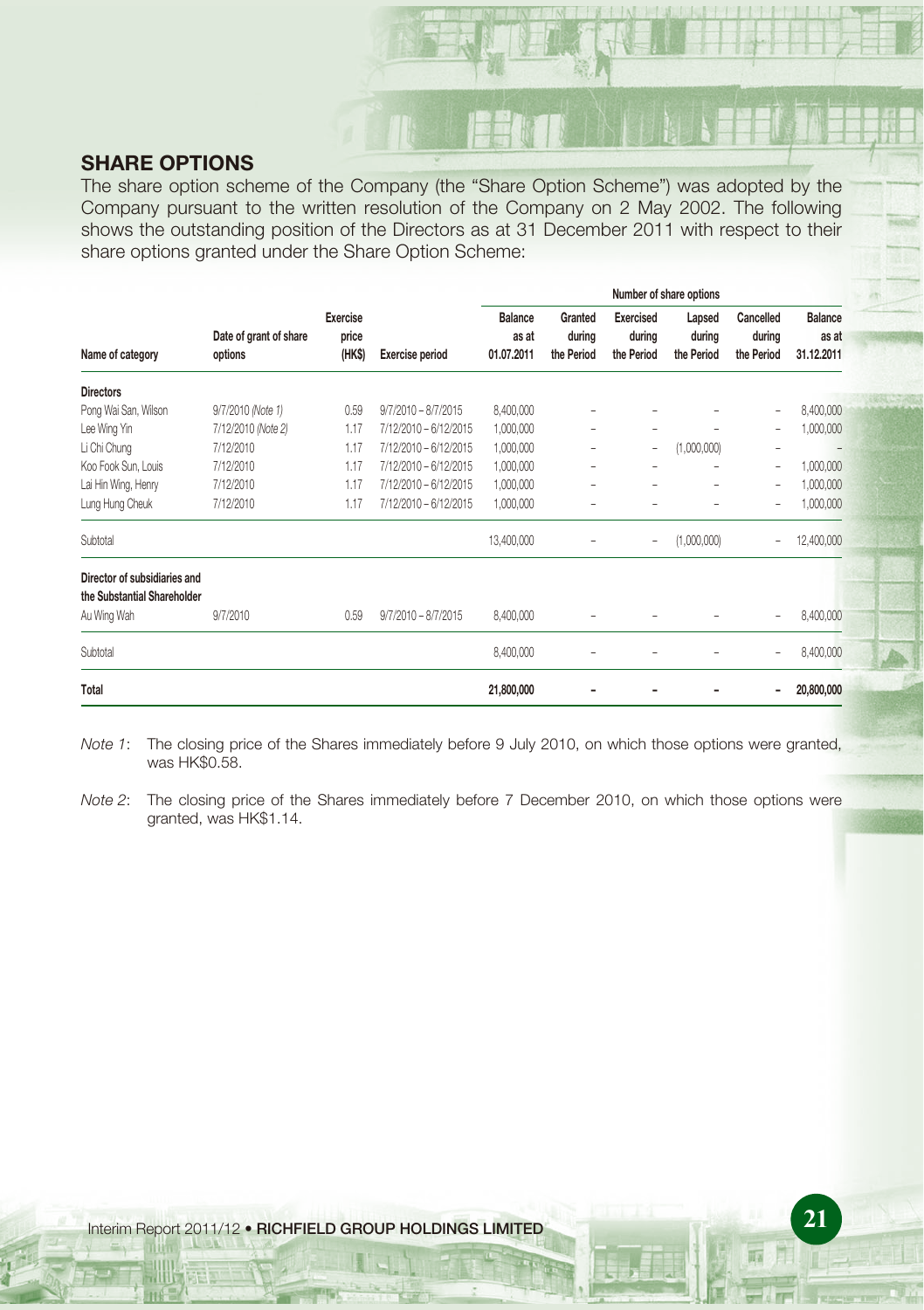# **SHARE OPTIONS**

The share option scheme of the Company (the "Share Option Scheme") was adopted by the Company pursuant to the written resolution of the Company on 2 May 2002. The following shows the outstanding position of the Directors as at 31 December 2011 with respect to their share options granted under the Share Option Scheme:

|                                                             |                                   |                                    |                        | Number of share options               |                                 |                                   |                                |                                   |                                       |
|-------------------------------------------------------------|-----------------------------------|------------------------------------|------------------------|---------------------------------------|---------------------------------|-----------------------------------|--------------------------------|-----------------------------------|---------------------------------------|
| Name of category                                            | Date of grant of share<br>options | <b>Exercise</b><br>price<br>(HK\$) | <b>Exercise period</b> | <b>Balance</b><br>as at<br>01.07.2011 | Granted<br>during<br>the Period | Exercised<br>during<br>the Period | Lapsed<br>during<br>the Period | Cancelled<br>during<br>the Period | <b>Balance</b><br>as at<br>31.12.2011 |
| <b>Directors</b>                                            |                                   |                                    |                        |                                       |                                 |                                   |                                |                                   |                                       |
| Pong Wai San, Wilson                                        | 9/7/2010 (Note 1)                 | 0.59                               | $9/7/2010 - 8/7/2015$  | 8,400,000                             |                                 |                                   |                                | $\overline{\phantom{0}}$          | 8,400,000                             |
| Lee Wing Yin                                                | 7/12/2010 (Note 2)                | 1.17                               | 7/12/2010 - 6/12/2015  | 1,000,000                             | $\overline{\phantom{0}}$        | -                                 | ۰                              | $\overline{\phantom{0}}$          | 1,000,000                             |
| Li Chi Chung                                                | 7/12/2010                         | 1.17                               | 7/12/2010 - 6/12/2015  | 1,000,000                             |                                 | $\qquad \qquad -$                 | (1,000,000)                    | ۰                                 |                                       |
| Koo Fook Sun, Louis                                         | 7/12/2010                         | 1.17                               | 7/12/2010 - 6/12/2015  | 1,000,000                             |                                 |                                   |                                | -                                 | 1,000,000                             |
| Lai Hin Wing, Henry                                         | 7/12/2010                         | 1.17                               | 7/12/2010 - 6/12/2015  | 1,000,000                             | $\overline{\phantom{0}}$        | -                                 | ۰                              | $\qquad \qquad -$                 | 1,000,000                             |
| Lung Hung Cheuk                                             | 7/12/2010                         | 1.17                               | 7/12/2010 - 6/12/2015  | 1,000,000                             |                                 |                                   | ۰                              | ۰                                 | 1,000,000                             |
| Subtotal                                                    |                                   |                                    |                        | 13,400,000                            |                                 | ٠                                 | (1,000,000)                    | L,                                | 12,400,000                            |
| Director of subsidiaries and<br>the Substantial Shareholder |                                   |                                    |                        |                                       |                                 |                                   |                                |                                   |                                       |
| Au Wing Wah                                                 | 9/7/2010                          | 0.59                               | $9/7/2010 - 8/7/2015$  | 8,400,000                             |                                 |                                   |                                |                                   | 8,400,000                             |
| Subtotal                                                    |                                   |                                    |                        | 8,400,000                             |                                 |                                   |                                | ۰                                 | 8,400,000                             |
| Total                                                       |                                   |                                    |                        | 21,800,000                            |                                 |                                   |                                |                                   | 20,800,000                            |

Note 1: The closing price of the Shares immediately before 9 July 2010, on which those options were granted, was HK\$0.58.

Note 2: The closing price of the Shares immediately before 7 December 2010, on which those options were granted, was HK\$1.14.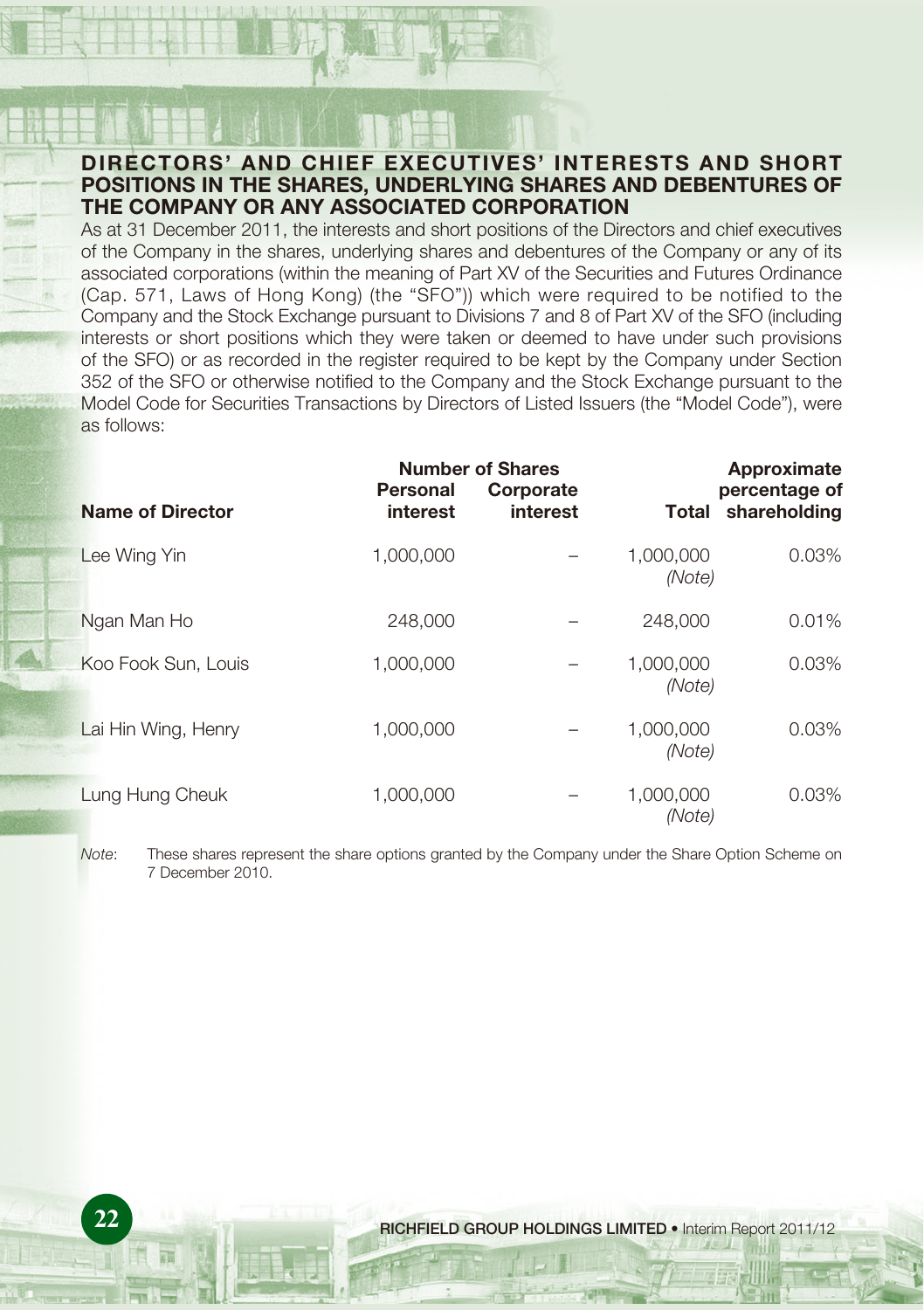# **DIRECTORS' AND CHIEF EXECUTIVES' INTERESTS AND SHORT POSITIONS IN THE SHARES, UNDERLYING SHARES AND DEBENTURES OF THE COMPANY OR ANY ASSOCIATED CORPORATION**

As at 31 December 2011, the interests and short positions of the Directors and chief executives of the Company in the shares, underlying shares and debentures of the Company or any of its associated corporations (within the meaning of Part XV of the Securities and Futures Ordinance (Cap. 571, Laws of Hong Kong) (the "SFO")) which were required to be notified to the Company and the Stock Exchange pursuant to Divisions 7 and 8 of Part XV of the SFO (including interests or short positions which they were taken or deemed to have under such provisions of the SFO) or as recorded in the register required to be kept by the Company under Section 352 of the SFO or otherwise notified to the Company and the Stock Exchange pursuant to the Model Code for Securities Transactions by Directors of Listed Issuers (the "Model Code"), were as follows:

|                         |                      | <b>Number of Shares</b> |                     | Approximate                   |
|-------------------------|----------------------|-------------------------|---------------------|-------------------------------|
| <b>Name of Director</b> | Personal<br>interest | Corporate<br>interest   | Total               | percentage of<br>shareholding |
| Lee Wing Yin            | 1,000,000            |                         | 1,000,000<br>(Note) | $0.03\%$                      |
| Ngan Man Ho             | 248,000              |                         | 248,000             | 0.01%                         |
| Koo Fook Sun, Louis     | 1,000,000            |                         | 1,000,000<br>(Note) | $0.03\%$                      |
| Lai Hin Wing, Henry     | 1,000,000            |                         | 1,000,000<br>(Note) | $0.03\%$                      |
| Lung Hung Cheuk         | 1,000,000            |                         | 1,000,000<br>(Note) | $0.03\%$                      |

Note: These shares represent the share options granted by the Company under the Share Option Scheme on 7 December 2010.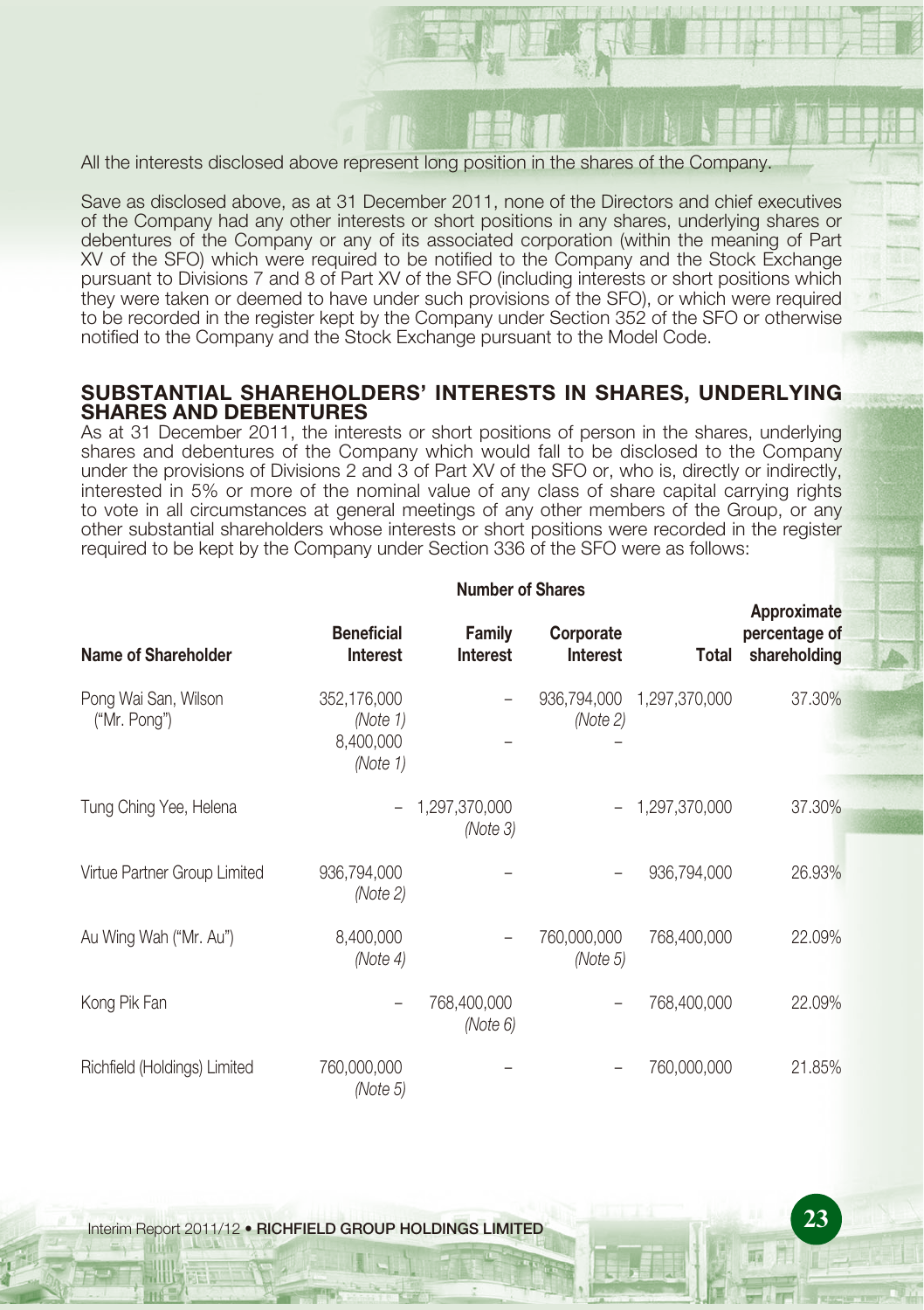All the interests disclosed above represent long position in the shares of the Company.

Save as disclosed above, as at 31 December 2011, none of the Directors and chief executives of the Company had any other interests or short positions in any shares, underlying shares or debentures of the Company or any of its associated corporation (within the meaning of Part XV of the SFO) which were required to be notified to the Company and the Stock Exchange pursuant to Divisions 7 and 8 of Part XV of the SFO (including interests or short positions which they were taken or deemed to have under such provisions of the SFO), or which were required to be recorded in the register kept by the Company under Section 352 of the SFO or otherwise notified to the Company and the Stock Exchange pursuant to the Model Code.

# **SUBSTANTIAL SHAREHOLDERS' INTERESTS IN SHARES, UNDERLYING SHARES AND DEBENTURES**

As at 31 December 2011, the interests or short positions of person in the shares, underlying shares and debentures of the Company which would fall to be disclosed to the Company under the provisions of Divisions 2 and 3 of Part XV of the SFO or, who is, directly or indirectly, interested in 5% or more of the nominal value of any class of share capital carrying rights to vote in all circumstances at general meetings of any other members of the Group, or any other substantial shareholders whose interests or short positions were recorded in the register required to be kept by the Company under Section 336 of the SFO were as follows:

| <b>Name of Shareholder</b>           | <b>Beneficial</b><br><b>Interest</b>             | Family<br><b>Interest</b>    | Corporate<br><b>Interest</b> | Total            | Approximate<br>percentage of<br>shareholding |
|--------------------------------------|--------------------------------------------------|------------------------------|------------------------------|------------------|----------------------------------------------|
| Pong Wai San, Wilson<br>("Mr. Pong") | 352,176,000<br>(Note 1)<br>8,400,000<br>(Note 1) |                              | 936,794,000<br>(Note 2)      | 1,297,370,000    | 37.30%                                       |
| Tung Ching Yee, Helena               |                                                  | $-1,297,370,000$<br>(Note 3) |                              | $-1,297,370,000$ | 37.30%                                       |
| Virtue Partner Group Limited         | 936,794,000<br>(Note 2)                          |                              |                              | 936,794,000      | 26.93%                                       |
| Au Wing Wah ("Mr. Au")               | 8,400,000<br>(Note 4)                            |                              | 760,000,000<br>(Note 5)      | 768,400,000      | 22.09%                                       |
| Kong Pik Fan                         |                                                  | 768,400,000<br>(Note 6)      |                              | 768,400,000      | 22.09%                                       |
| Richfield (Holdings) Limited         | 760,000,000<br>(Note 5)                          |                              |                              | 760,000,000      | 21.85%                                       |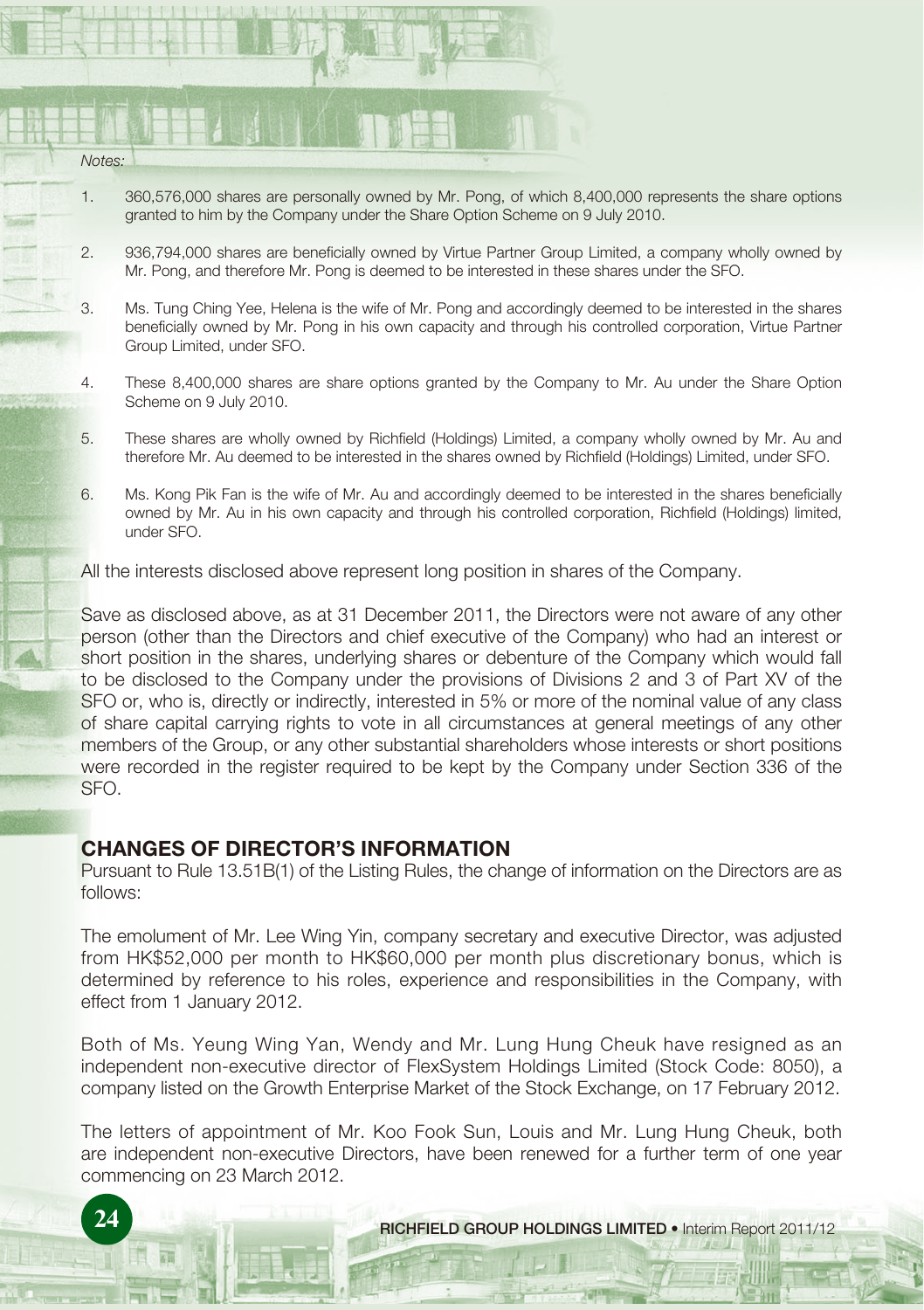| <b>STATISTICS</b> |  |
|-------------------|--|
|                   |  |
| Notes:            |  |

- 1. 360,576,000 shares are personally owned by Mr. Pong, of which 8,400,000 represents the share options granted to him by the Company under the Share Option Scheme on 9 July 2010.
- 2. 936,794,000 shares are beneficially owned by Virtue Partner Group Limited, a company wholly owned by Mr. Pong, and therefore Mr. Pong is deemed to be interested in these shares under the SFO.
- 3. Ms. Tung Ching Yee, Helena is the wife of Mr. Pong and accordingly deemed to be interested in the shares beneficially owned by Mr. Pong in his own capacity and through his controlled corporation, Virtue Partner Group Limited, under SFO.
- 4. These 8,400,000 shares are share options granted by the Company to Mr. Au under the Share Option Scheme on 9 July 2010.
- 5. These shares are wholly owned by Richfield (Holdings) Limited, a company wholly owned by Mr. Au and therefore Mr. Au deemed to be interested in the shares owned by Richfield (Holdings) Limited, under SFO.
- 6. Ms. Kong Pik Fan is the wife of Mr. Au and accordingly deemed to be interested in the shares beneficially owned by Mr. Au in his own capacity and through his controlled corporation, Richfield (Holdings) limited, under SFO.

All the interests disclosed above represent long position in shares of the Company.

Save as disclosed above, as at 31 December 2011, the Directors were not aware of any other person (other than the Directors and chief executive of the Company) who had an interest or short position in the shares, underlying shares or debenture of the Company which would fall to be disclosed to the Company under the provisions of Divisions 2 and 3 of Part XV of the SFO or, who is, directly or indirectly, interested in 5% or more of the nominal value of any class of share capital carrying rights to vote in all circumstances at general meetings of any other members of the Group, or any other substantial shareholders whose interests or short positions were recorded in the register required to be kept by the Company under Section 336 of the SFO.

# **CHANGES OF DIRECTOR'S INFORMATION**

Pursuant to Rule 13.51B(1) of the Listing Rules, the change of information on the Directors are as follows:

The emolument of Mr. Lee Wing Yin, company secretary and executive Director, was adjusted from HK\$52,000 per month to HK\$60,000 per month plus discretionary bonus, which is determined by reference to his roles, experience and responsibilities in the Company, with effect from 1 January 2012.

Both of Ms. Yeung Wing Yan, Wendy and Mr. Lung Hung Cheuk have resigned as an independent non-executive director of FlexSystem Holdings Limited (Stock Code: 8050), a company listed on the Growth Enterprise Market of the Stock Exchange, on 17 February 2012.

The letters of appointment of Mr. Koo Fook Sun, Louis and Mr. Lung Hung Cheuk, both are independent non-executive Directors, have been renewed for a further term of one year commencing on 23 March 2012.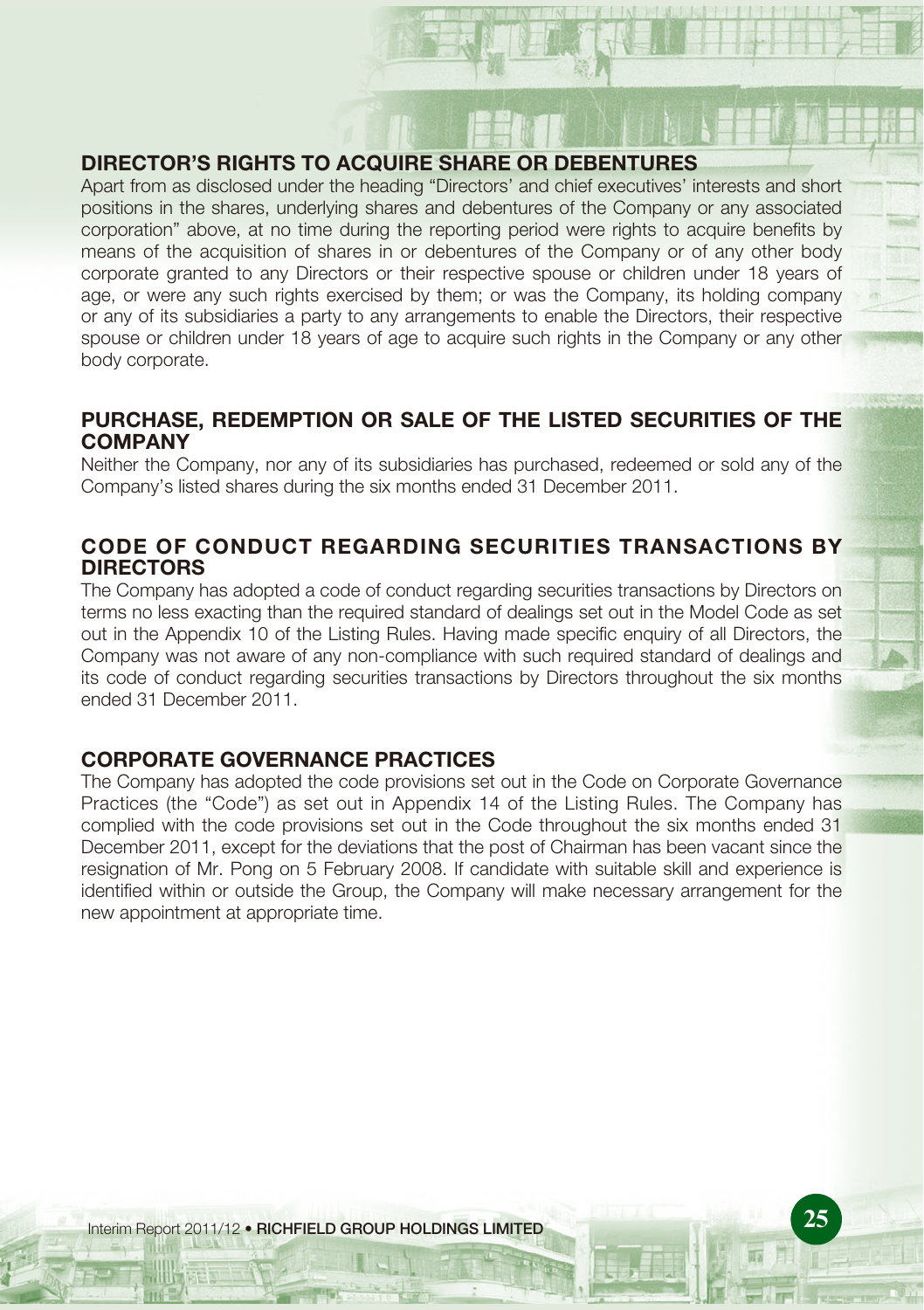# **DIRECTOR'S RIGHTS TO ACQUIRE SHARE OR DEBENTURES**

Apart from as disclosed under the heading "Directors' and chief executives' interests and short positions in the shares, underlying shares and debentures of the Company or any associated corporation" above, at no time during the reporting period were rights to acquire benefits by means of the acquisition of shares in or debentures of the Company or of any other body corporate granted to any Directors or their respective spouse or children under 18 years of age, or were any such rights exercised by them; or was the Company, its holding company or any of its subsidiaries a party to any arrangements to enable the Directors, their respective spouse or children under 18 years of age to acquire such rights in the Company or any other body corporate.

# **PURCHASE, REDEMPTION OR SALE OF THE LISTED SECURITIES OF THE COMPANY**

Neither the Company, nor any of its subsidiaries has purchased, redeemed or sold any of the Company's listed shares during the six months ended 31 December 2011.

# **CODE OF CONDUCT REGARDING SECURITIES TRANSACTIONS BY DIRECTORS**

The Company has adopted a code of conduct regarding securities transactions by Directors on terms no less exacting than the required standard of dealings set out in the Model Code as set out in the Appendix 10 of the Listing Rules. Having made specific enquiry of all Directors, the Company was not aware of any non-compliance with such required standard of dealings and its code of conduct regarding securities transactions by Directors throughout the six months ended 31 December 2011.

# **CORPORATE GOVERNANCE PRACTICES**

The Company has adopted the code provisions set out in the Code on Corporate Governance Practices (the "Code") as set out in Appendix 14 of the Listing Rules. The Company has complied with the code provisions set out in the Code throughout the six months ended 31 December 2011, except for the deviations that the post of Chairman has been vacant since the resignation of Mr. Pong on 5 February 2008. If candidate with suitable skill and experience is identified within or outside the Group, the Company will make necessary arrangement for the new appointment at appropriate time.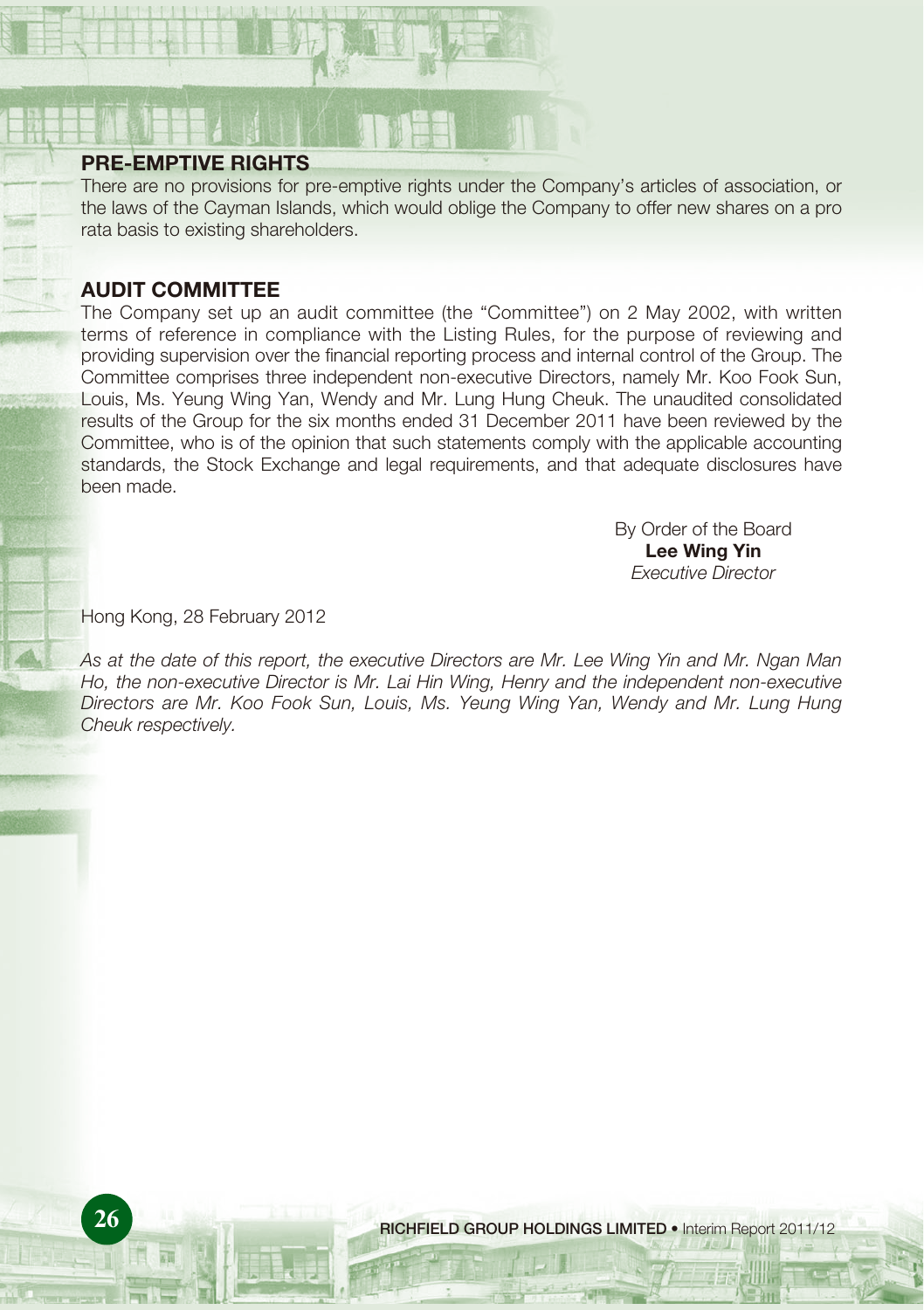# **PRE-EMPTIVE RIGHTS**

There are no provisions for pre-emptive rights under the Company's articles of association, or the laws of the Cayman Islands, which would oblige the Company to offer new shares on a pro rata basis to existing shareholders.

# **AUDIT COMMITTEE**

The Company set up an audit committee (the "Committee") on 2 May 2002, with written terms of reference in compliance with the Listing Rules, for the purpose of reviewing and providing supervision over the financial reporting process and internal control of the Group. The Committee comprises three independent non-executive Directors, namely Mr. Koo Fook Sun, Louis, Ms. Yeung Wing Yan, Wendy and Mr. Lung Hung Cheuk. The unaudited consolidated results of the Group for the six months ended 31 December 2011 have been reviewed by the Committee, who is of the opinion that such statements comply with the applicable accounting standards, the Stock Exchange and legal requirements, and that adequate disclosures have been made.

> By Order of the Board **Lee Wing Yin** Executive Director

Hong Kong, 28 February 2012

As at the date of this report, the executive Directors are Mr. Lee Wing Yin and Mr. Ngan Man Ho, the non-executive Director is Mr. Lai Hin Wing, Henry and the independent non-executive Directors are Mr. Koo Fook Sun, Louis, Ms. Yeung Wing Yan, Wendy and Mr. Lung Hung Cheuk respectively.